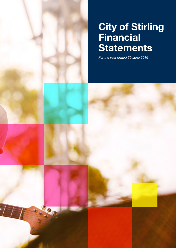# City of Stirling Financial **Statements**

*For the year ended 30 June 2016*

 $\cdot / \; \bar{}$ 

 $\frac{1}{2}$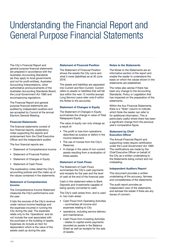# Understanding the Financial Report and General Purpose Financial Statements

The City's Financial Report and general purpose financial statements are prepared in accordance with the Australian Accounting Standards (as they apply to local governments and not for profit entities), Australian Accounting Interpretations, other authoritative pronouncements of the Australian Accounting Standards Board, the *Local Government Act 1995* and accompanying regulations.

The Financial Report and general purpose financial statements are audited by independent auditors and are accepted by Council at the annual Electors General Meeting.

#### Financial Statements

The financial statements consist of four financial reports, explanatory notes supporting the reports and endorsement from the Chief Executive Officer and the independent auditor.

The four financial reports are:

- Statement of Comprehensive Income
- Statement of Financial Position
- Statement of Changes in Equity
- Statement of Cash Flows

The explanatory notes detail the City's accounting policies and the make up of the values contained in the statements.

#### Statement of Comprehensive Income

The Comprehensive Income Statement measures the City's performance over the year.

It lists the sources of the City's revenue under various income headings and the expenses incurred in running the City during the year. The expenses relate only to the 'Operations' and do not include the cost associated with the purchase or the building of assets. Expenses do include an item for depreciation which is the value of the assets used up during the year.

#### Statement of Financial Position

The Statement of Financial Position shows the assets the City owns and what it owes (liabilities) as at 30 June 2016.

The assets and liabilities are separated into Current and Non-Current. Current refers to assets or liabilities that will fall due within the next 12 months (except Long Service Leave refer note 9 within the Notes to the accounts).

#### Statement of Changes in Equity

The Statement of Changes in Equity summarises the change in value of Total Ratepayers Equity.

The value of equity can only change as a result of:

- The profit or loss from operations described as surplus or deficit in the income statement.
- The use of monies from the City's Reserves.
- A change in the value of non-current assets resulting from a revaluation of these assets.

### Statement of Cash Flows

The Statement of Cash Flows summarises the City's cash payments and receipts for the year and the level of cash at the end of the financial year.

Cash in this statement refers to Bank Deposits and investments capable of being quickly converted to cash.

The City's cash arises from, and is used in, two main areas:

- Cash Flows from Operating Activities – summarises all income and expenses relating to City
- operations, including service delivery and maintenance.
- Cash Flows from Investing Activities - relates to capital works payments recorded as assets in the Balance Sheet as well as receipts for the sale of assets.

#### Notes to the Statements

The Notes to the Statements are an informative section of the report and enable the reader to understand the basis on which the values shown in the statements are established.

The notes also advise if there has been any change to the Accounting Standards, Policy or Legislation that has impacted on the preparation of the statements.

Within the four Financial Statements, there is a "Note" column to indicate which Note the reader can refer to for additional information. This is particularly useful where there has been a significant change from the previous year's comparative figure.

#### Statement by Chief Executive Officer

The Annual Financial Report and supporting notes require certification under the *Local Government Act 1995.*  The certifications are made by the Chief Executive Officer on behalf of the City as a written undertaking to the Statements being correct and not misleading.

#### Independent Auditors Report

This document provides a written undertaking of the accuracy, fairness and completeness of the statements.

The audit report provides an independent view of the statements and advises the reader if there are any issues of concern.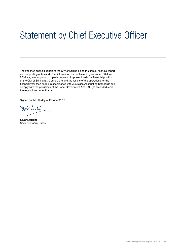# Statement by Chief Executive Officer

The attached financial report of the City of Stirling being the annual financial report and supporting notes and other information for the financial year ended 30 June 2016 are, in my opinion, properly drawn up to present fairly the financial position of the City of Stirling at 30 June 2016 and the results of the operations for the financial year then ended in accordance with Australian Accounting Standards and comply with the provisions of the Local Government Act 1995 (as amended) and the regulations under that Act.

Signed on the 5th day of October 2016

Hust Jadie

Stuart Jardine *Chief Executive Officer*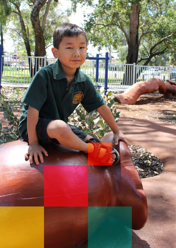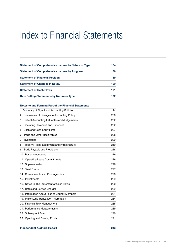# Index to Financial Statements

| <b>Statement of Comprehensive Income by Nature or Type</b> | 184  |
|------------------------------------------------------------|------|
| <b>Statement of Comprehensive Income by Program</b>        | 186  |
| <b>Statement of Financial Position</b>                     | 189  |
| <b>Statement of Changes in Equity</b>                      | 190  |
| <b>Statement of Cash Flows</b>                             | 191  |
| Rate Setting Statement – by Nature or Type                 | 192. |

### [Notes to and Forming Part of the Financial Statements](#page-15-0)

| 1. Summary of Significant Accounting Policies    | 194 |
|--------------------------------------------------|-----|
| 2. Disclosures of Changes in Accounting Policy   | 200 |
| 3. Critical Accounting Estimates and Judgements  | 202 |
| 4. Operating Revenues and Expenses               | 202 |
| 5. Cash and Cash Equivalents                     | 207 |
| 6. Trade and Other Receivables                   | 208 |
| 7. Inventories                                   | 209 |
| 8. Property, Plant, Equipment and Infrastructure | 210 |
| 9. Trade Payable and Provisions                  | 218 |
| 10. Reserve Accounts                             | 219 |
| 11. Operating Lease Commitments                  | 226 |
| 12. Superannuation                               | 226 |
| 13. Trust Funds                                  | 227 |
| 14. Commitments and Contingencies                | 228 |
| 15. Investments                                  | 229 |
| 16. Notes to The Statement of Cash Flows         | 230 |
| 17. Rates and Service Charges                    | 232 |
| 18. Information About Fees to Council Members    | 234 |
| 19. Major Land Transaction Information           | 234 |
| 20. Financial Risk Management                    | 235 |
| 21. Performance Measurements                     | 239 |
| 22. Subsequent Event                             | 240 |
| 23. Opening and Closing Funds                    | 241 |
| <b>Independent Auditors Report</b>               | 243 |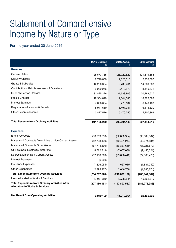# <span id="page-5-0"></span>Statement of Comprehensive Income by Nature or Type

For the year ended 30 June 2016

|                                                                                                      | 2016 Budget<br>\$ | 2016 Actual<br>\$ | 2015 Actual<br>\$ |
|------------------------------------------------------------------------------------------------------|-------------------|-------------------|-------------------|
| <b>Revenue</b>                                                                                       |                   |                   |                   |
| <b>General Rates</b>                                                                                 | 125,573,735       | 125,722,529       | 121,519,388       |
| Security Charge                                                                                      | 2,796,000         | 2,825,618         | 2,735,800         |
| <b>Grants &amp; Subsidies</b>                                                                        | 12,250,384        | 9,730,261         | 14,269,363        |
| Contributions, Reimbursements & Donations                                                            | 2,239,276         | 3,410,578         | 3,440,671         |
| <b>Rubbish Service Charges</b>                                                                       | 31,825,226        | 31,638,809        | 30,289,527        |
| Fees & Charges                                                                                       | 19,564,819        | 19,544,086        | 18,725,688        |
| Interest Earnings                                                                                    | 7,066,604         | 5,770,134         | 6,140,463         |
| Registrations/Licences & Permits                                                                     | 5,941,650         | 5,491,381         | 6,115,820         |
| Other Revenue/Income                                                                                 | 3,877,576         | 5,470,750         | 4,207,899         |
|                                                                                                      |                   |                   |                   |
| <b>Total Revenue from Ordinary Activities</b>                                                        | 211,135,270       | 209,604,146       | 207,444,619       |
|                                                                                                      |                   |                   |                   |
| <b>Expenses</b>                                                                                      |                   |                   |                   |
| <b>Employee Costs</b>                                                                                | (98, 689, 713)    | (92, 830, 964)    | (90, 389, 384)    |
| Materials & Contracts Direct Mtce of Non-Current Assets                                              | (42, 733, 129)    | (40, 491, 244)    | (40, 271, 831)    |
| Materials & Contracts Other Works                                                                    | (67, 714, 509)    | (66, 337, 669)    | (61, 926, 879)    |
| Utilities (Gas, Electricity, Water etc)                                                              | (8,762,819)       | (7,657,039)       | (7,450,321)       |
| Depreciation on Non-Current Assets                                                                   | (32, 138, 869)    | (29,656,442)      | (27, 386, 473)    |
| <b>Interest Expenses</b>                                                                             | (6,500)           |                   |                   |
| Insurance Expenses                                                                                   | (1,826,054)       | (1,657,010)       | (1,831,240)       |
| <b>Other Expenditure</b>                                                                             | (2,395,927)       | (2,046,758)       | (1,685,674)       |
| <b>Total Expenditure from Ordinary Activities</b>                                                    | (254, 267, 520)   | (240, 677, 126)   | (230, 941, 802)   |
| Less: Allocated to Works & Services                                                                  | 47,081,359        | 42,783,544        | 45,662,819        |
| <b>Total Expenditure from Ordinary Activities After</b><br><b>Allocation to Works &amp; Services</b> | (207, 186, 161)   | (197, 893, 582)   | (185, 278, 983)   |
| <b>Net Result from Operating Activities</b>                                                          | 3,949,109         | 11,710,564        | 22,165,636        |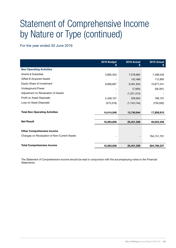# Statement of Comprehensive Income by Nature or Type (continued)

For the year ended 30 June 2016

|                                              | 2016 Budget<br>S | 2016 Actual<br>S | 2015 Actual<br>S |
|----------------------------------------------|------------------|------------------|------------------|
| <b>Non Operating Activities</b>              |                  |                  |                  |
| <b>Grants &amp; Subsidies</b>                | 3,865,353        | 7,578,984        | 7,498,540        |
| <b>Gifted &amp; Acquired Assets</b>          |                  | 142,496          | 112,895          |
| Equity Share of Investment                   | 8,666,667        | 8,461,634        | 10,877,241       |
| <b>Underground Power</b>                     |                  | (7,064)          | (38, 381)        |
| Adjustment on Revaluation of Assets          |                  | (1,221,315)      |                  |
| Profit on Asset Disposals                    | 2,458,107        | 529,953          | 168,107          |
| Loss on Asset Disposals                      | (575, 578)       | (1,743,744)      | (759, 592)       |
| <b>Total Non Operating Activities</b>        | 14,414,549       | 13,740,944       | 17,858,810       |
|                                              |                  |                  |                  |
| <b>Net Result</b>                            | 18,363,658       | 25,451,508       | 40,024,446       |
| <b>Other Comprehensive Income</b>            |                  |                  |                  |
| Changes on Revaluation of Non-Current Assets |                  |                  | 784,741,791      |
| <b>Total Comprehensive Income</b>            | 18,363,658       | 25,451,508       | 824,766,237      |

The Statement of Comprehensive Income should be read in conjunction with the accompanying notes to the Financial Statements.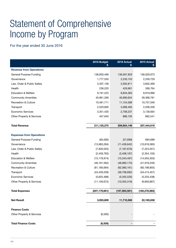# <span id="page-7-0"></span>Statement of Comprehensive Income by Program

For the year ended 30 June 2016

|                                 | 2016 Budget     | 2016 Actual     | 2015 Actual     |
|---------------------------------|-----------------|-----------------|-----------------|
|                                 | S               | \$              | \$              |
| <b>Revenue from Operations</b>  |                 |                 |                 |
| <b>General Purpose Funding</b>  | 138,850,469     | 136,007,820     | 136,029,973     |
| Governance                      | 1,777,550       | 2,230,153       | 2,259,729       |
| Law, Order & Public Safety      | 3,307,158       | 3,592,811       | 3,602,369       |
| Health                          | 236,220         | 429,961         | 268,764         |
| <b>Education &amp; Welfare</b>  | 9,191,223       | 8,834,383       | 8,919,996       |
| <b>Community Amenities</b>      | 40,961,269      | 40,690,624      | 39,398,781      |
| <b>Recreation &amp; Culture</b> | 10,481,711      | 11,154,589      | 10,757,046      |
| Transport                       | 2,520,600       | 3,068,463       | 2,206,356       |
| <b>Economic Services</b>        | 3,351,430       | 2,709,237       | 3,139,064       |
| Other Property & Services       | 457,640         | 886,105         | 862,541         |
| <b>Total Revenue</b>            | 211,135,270     | 209,604,146     | 207,444,619     |
|                                 |                 |                 |                 |
| <b>Expenses from Operations</b> |                 |                 |                 |
| General Purpose Funding         | (65,000)        | (57, 699)       | 694,689         |
| Governance                      | (13,983,284)    | (11, 436, 642)  | (10,618,585)    |
| Law, Order & Public Safety      | (7,926,025)     | (7, 187, 676)   | (7, 224, 557)   |
| Health                          | (2,459,783)     | (2,408,187)     | (2,354,150)     |
| Education & Welfare             | (15, 178, 974)  | (15, 343, 497)  | (14, 055, 503)  |
| <b>Community Amenities</b>      | (46, 161, 562)  | (46,960,173)    | (41, 918, 240)  |
| <b>Recreation &amp; Culture</b> | (61, 180, 664)  | (62,080,161)    | (60, 198, 855)  |
| Transport                       | (43, 439, 209)  | (36, 708, 692)  | (34, 413, 457)  |
| <b>Economic Services</b>        | (5,625,488)     | (5,355,535)     | (5,333,438)     |
| Other Property & Services       | (11, 159, 672)  | (10, 355, 319)  | (9,856,887)     |
|                                 |                 |                 |                 |
| <b>Total Expenses</b>           | (207, 179, 661) | (197, 893, 581) | (185, 278, 983) |
|                                 |                 |                 |                 |
| <b>Net Result</b>               | 3,955,609       | 11,710,565      | 22,165,636      |
| <b>Finance Costs</b>            |                 |                 |                 |
| Other Property & Services       | (6,500)         |                 |                 |
| <b>Total Finance Costs</b>      | (6,500)         |                 |                 |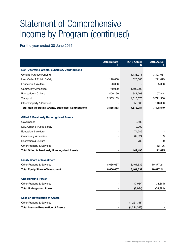# Statement of Comprehensive Income by Program (continued)

For the year ended 30 June 2016

|                                                             | 2016 Budget<br>S | 2016 Actual<br>S | 2015 Actual<br>S |
|-------------------------------------------------------------|------------------|------------------|------------------|
| <b>Non-Operating Grants, Subsidies, Contributions</b>       |                  |                  |                  |
| General Purpose Funding                                     |                  | 1,136,911        | 3,303,081        |
| Law, Order & Public Safety                                  | 120,000          | 320,000          | 221,079          |
| <b>Education &amp; Welfare</b>                              | 20,000           |                  | 5,000            |
| <b>Community Amenities</b>                                  | 740,000          | 1,100,000        |                  |
| <b>Recreation &amp; Culture</b>                             | 450,190          | 347,203          | 57,844           |
| Transport                                                   | 2,535,163        | 4,318,870        | 3,771,536        |
| Other Property & Services                                   |                  | 356,000          | 140,000          |
| <b>Total Non-Operating Grants, Subsidies, Contributions</b> | 3,865,353        | 7,578,984        | 7,498,540        |
|                                                             |                  |                  |                  |
| <b>Gifted &amp; Previously Unrecognised Assets</b>          |                  |                  |                  |
| Governance                                                  |                  | 2,500            |                  |
| Law, Order & Public Safety                                  |                  | 2,000            |                  |
| <b>Education &amp; Welfare</b>                              |                  | 74,289           |                  |
| <b>Community Amenities</b>                                  |                  | 62,924           | 139              |
| <b>Recreation &amp; Culture</b>                             |                  | 783              | 30               |
| Other Property & Services                                   |                  |                  | 112,726          |
| <b>Total Gifted &amp; Previously Unrecognised Assets</b>    | ÷                | 142,496          | 112,895          |
|                                                             |                  |                  |                  |
| <b>Equity Share of Investment</b>                           |                  |                  |                  |
| Other Property & Services                                   | 8,666,667        | 8,461,632        | 10,877,241       |
| <b>Total Equity Share of Investment</b>                     | 8,666,667        | 8,461,632        | 10,877,241       |
|                                                             |                  |                  |                  |
| <b>Underground Power</b>                                    |                  |                  |                  |
| Other Property & Services                                   |                  | (7,064)          | (38, 381)        |
| <b>Total Underground Power</b>                              | ÷,               | (7,064)          | (38, 381)        |
|                                                             |                  |                  |                  |
| <b>Loss on Revaluation of Assets</b>                        |                  |                  |                  |
| Other Property & Services                                   |                  | (1,221,315)      |                  |
| <b>Total Loss on Revaluation of Assets</b>                  | ÷                | (1,221,315)      |                  |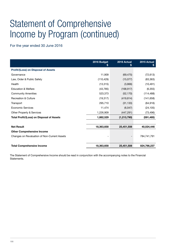# Statement of Comprehensive Income by Program (continued)

For the year ended 30 June 2016

|                                                  | 2016 Budget<br>S | 2016 Actual<br>S | 2015 Actual<br>S. |
|--------------------------------------------------|------------------|------------------|-------------------|
| <b>Profit/(Loss) on Disposal of Assets</b>       |                  |                  |                   |
| Governance                                       | 11,909           | (69, 475)        | (72, 613)         |
| Law, Order & Public Safety                       | (110, 429)       | (15,077)         | (83, 363)         |
| Health                                           | (13, 315)        | (3,866)          | (10, 491)         |
| <b>Education &amp; Welfare</b>                   | (43, 785)        | (168, 917)       | (6, 355)          |
| <b>Community Amenities</b>                       | 523,373          | (52, 170)        | (114, 488)        |
| <b>Recreation &amp; Culture</b>                  | (19, 317)        | (419, 814)       | (141, 658)        |
| Transport                                        | 295,710          | (31, 133)        | (64, 916)         |
| Economic Services                                | 11,474           | (6,047)          | (24, 105)         |
| <b>Other Property &amp; Services</b>             | 1,226,909        | (447, 291)       | (73, 496)         |
| <b>Total Profit/(Loss) on Disposal of Assets</b> | 1,882,529        | (1, 213, 790)    | (591, 485)        |
|                                                  |                  |                  |                   |
| <b>Net Result</b>                                | 18,363,658       | 25,451,508       | 40,024,446        |
| <b>Other Comprehensive Income</b>                |                  |                  |                   |
| Changes on Revaluation of Non-Current Assets     |                  |                  | 784,741,791       |
|                                                  |                  |                  |                   |
| <b>Total Comprehensive Income</b>                | 18,363,658       | 25,451,508       | 824,766,237       |

The Statement of Comprehensive Income should be read in conjunction with the accompanying notes to the Financial Statements.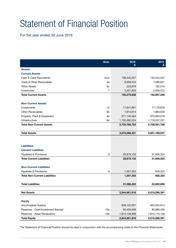# <span id="page-10-0"></span>Statement of Financial Position

For the year ended 30 June 2016

|                                                  | <b>Note</b>     | 2016<br>S     | 2015<br>S.    |
|--------------------------------------------------|-----------------|---------------|---------------|
| <b>Assets</b>                                    |                 |               |               |
| <b>Current Assets</b>                            |                 |               |               |
| Cash & Cash Equivalents                          | 5a,b            | 138,245,257   | 132,424,537   |
| Trade & Other Receivables                        | 6a              | 8,508,553     | 7,080,621     |
| <b>Other Assets</b>                              | 6с              | 223,879       | 162,519       |
| Inventories                                      | $\overline{7}$  | 3,301,949     | 2,939,572     |
| <b>Total Current Assets</b>                      |                 | 150,279,638   | 142,607,249   |
| <b>Non-Current Assets</b>                        |                 |               |               |
| Investments                                      | 15              | 17,641,661    | 17,176,876    |
| <b>Other Receivables</b>                         | 6 <sub>b</sub>  | 1,914,014     | 1,884,646     |
| Property, Plant & Equipment                      | 8a              | 971,140,564   | 970,963,019   |
| Infrastructure                                   | 8d              | 1,735,092,524 | 1,718,537,257 |
| <b>Total Non-Current Assets</b>                  |                 | 2,725,788,763 | 2,708,561,798 |
| <b>Total Assets</b>                              |                 | 2,876,068,401 | 2,851,169,047 |
| <b>Liabilities</b><br><b>Current Liabilities</b> |                 |               |               |
| Payables & Provisions                            | 9               | 29,879,130    | 31,956,333    |
| <b>Total Current Liabilities</b>                 |                 | 29,879,130    | 31,956,333    |
| <b>Non-Current Liabilities</b>                   |                 |               |               |
| Payables & Provisions                            | 9               | 1,507,353     | 926,323       |
| <b>Total Non-Current Liabilities</b>             |                 | 1,507,353     | 926,323       |
| <b>Total Liabilities</b>                         |                 | 31,386,483    | 32,882,656    |
|                                                  |                 |               |               |
| <b>Net Assets</b>                                |                 | 2,844,681,918 | 2,818,286,391 |
|                                                  |                 |               |               |
| <b>Equity</b>                                    |                 |               |               |
| <b>Accumulated Surplus</b>                       |                 | 939,122,501   | 925,024,814   |
| Reserves - Cash/Investment Backed                | 10a             | 92,430,509    | 80,086,429    |
| Reserves - Asset Revaluation                     | 10 <sub>b</sub> | 1,813,128,908 | 1,813,175,148 |
| <b>Total Equity</b>                              |                 | 2,844,681,918 | 2,818,286,391 |

The Statement of Financial Position should be read in conjunction with the accompanying notes to the Financial Statements.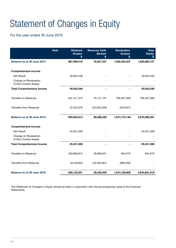# <span id="page-11-0"></span>Statement of Changes in Equity

For the year ended 30 June 2016

|                                                | <b>Note</b> | <b>Retained</b><br><b>Surplus</b><br>\$ | <b>Reserves Cash</b><br><b>Backed</b><br>\$ | Revaluation<br><b>Surplus</b><br>\$ | <b>Total</b><br><b>Equity</b><br>\$ |
|------------------------------------------------|-------------|-----------------------------------------|---------------------------------------------|-------------------------------------|-------------------------------------|
| Balance as at 30 June 2014                     |             | 887,599,419                             | 76,947,331                                  | 1,028,433,357                       | 1,992,980,107                       |
| <b>Comprehensive Income</b>                    |             |                                         |                                             |                                     |                                     |
| <b>Net Result</b>                              |             | 40,024,446                              |                                             |                                     | 40,024,446                          |
| Change on Revaluation<br>of Non-Current Assets |             |                                         |                                             |                                     |                                     |
| <b>Total Comprehensive Income</b>              |             | 40,024,446                              | $\blacksquare$                              |                                     | 40,024,446                          |
| <b>Transfers to Reserves</b>                   |             | (25, 141, 727)                          | 25,141,727                                  | 785,281,838                         | 785,281,838                         |
| <b>Transfers from Reserves</b>                 |             | 22,542,676                              | (22,002,629)                                | (540, 047)                          |                                     |
| Balance as at 30 June 2015                     |             | 925,024,814                             | 80,086,429                                  | 1,813,175,148                       | 2,818,286,391                       |
| <b>Comprehensive Income</b>                    |             |                                         |                                             |                                     |                                     |
| <b>Net Result</b>                              |             | 25,451,508                              |                                             |                                     | 25,451,508                          |
| Change on Revaluation<br>of Non-Current Assets |             |                                         |                                             |                                     |                                     |
| <b>Total Comprehensive Income</b>              |             | 25,451,508                              | $\blacksquare$                              |                                     | 25,451,508                          |
| <b>Transfers to Reserves</b>                   |             | (30, 800, 641)                          | 30,800,641                                  | 944,019                             | 944,019                             |
| <b>Transfers from Reserves</b>                 |             | 19,446,820                              | (18, 456, 561)                              | (990, 259)                          |                                     |
| Balance as at 30 June 2016                     |             | 939,122,501                             | 92,430,509                                  | 1,813,128,908                       | 2,844,681,918                       |

The Statement of Changes in Equity should be read in conjunction with the accompanying notes to the Financial Statements.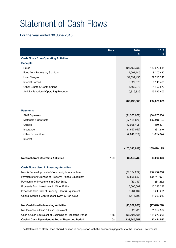# <span id="page-12-0"></span>Statement of Cash Flows

For the year ended 30 June 2016

|                                                         | <b>Note</b> | 2016<br>\$      | 2015<br>\$      |
|---------------------------------------------------------|-------------|-----------------|-----------------|
| <b>Cash Flows from Operating Activities</b>             |             |                 |                 |
| <b>Receipts</b>                                         |             |                 |                 |
| Rates                                                   |             | 126,453,733     | 122,572,811     |
| Fees from Regulatory Services                           |             | 7,697,145       | 8,205,430       |
| User Charges                                            |             | 54,832,458      | 52,710,346      |
| <b>Interest Earned</b>                                  |             | 5,627,070       | 6,140,463       |
| <b>Other Grants &amp; Contributions</b>                 |             | 4,568,373       | 1,406,572       |
| <b>Activity Functional Operating Revenue</b>            |             | 10,316,826      | 13,593,403      |
|                                                         |             | 209,495,605     | 204,629,025     |
| <b>Payments</b>                                         |             |                 |                 |
| <b>Staff Expenses</b>                                   |             | (91, 550, 972)  | (88, 617, 836)  |
| Materials & Contracts                                   |             | (67, 165, 672)  | (65, 843, 124)  |
| <b>Utilities</b>                                        |             | (7,925,405)     | (7,450,321)     |
| Insurance                                               |             | (1,657,010)     | (1,831,240)     |
| Other Expenditure                                       |             | (2,046,758)     | (1,685,674)     |
| Interest                                                |             |                 |                 |
|                                                         |             | (170, 345, 817) | (165, 428, 195) |
| <b>Net Cash from Operating Activities</b>               | 16d         | 39,149,788      | 39,200,830      |
| <b>Cash Flows Used in Investing Activities</b>          |             |                 |                 |
| New & Redevelopment of Community Infrastructure         |             | (39, 124, 222)  | (30, 560, 618)  |
| Payments for Purchase of Property, Plant & Equipment    |             | (16,895,639)    | (22, 744, 974)  |
| Payments for Investment in Other Entity                 |             | (89, 349)       | (84, 252)       |
| Proceeds from Investment in Other Entity                |             | 5,000,002       | 10,333,332      |
| Proceeds from Sale of Property, Plant & Equipment       |             | 3,234,437       | 3,245,201       |
| Capital Grants & Contributions (Govt & Non-Govt)        |             | 14,545,703      | 21,963,013      |
|                                                         |             |                 |                 |
| <b>Net Cash Used in Investing Activities</b>            |             | (33,329,068)    | (17, 848, 298)  |
| Net Increase in Cash & Cash Equivalent                  |             | 5,820,720       | 21,352,532      |
| Cash & Cash Equivalent at Beginning of Reporting Period | 16a         | 132,424,537     | 111,072,005     |
| Cash & Cash Equivalent at End of Reporting Period       | 16a         | 138,245,257     | 132,424,537     |

The Statement of Cash Flows should be read in conjunction with the accompanying notes to the Financial Statements.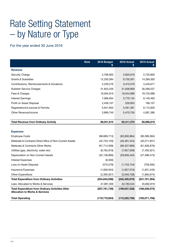# <span id="page-13-0"></span>Rate Setting Statement – by Nature or Type

For the year ended 30 June 2016

|                                                                                                      | 2016 Budget<br><b>Note</b><br>S | 2016 Actual<br>S | 2015 Actual<br>\$ |
|------------------------------------------------------------------------------------------------------|---------------------------------|------------------|-------------------|
| <b>Revenue</b>                                                                                       |                                 |                  |                   |
| <b>Security Charge</b>                                                                               | 2,796,000                       | 2,825,618        | 2,735,800         |
| <b>Grants &amp; Subsidies</b>                                                                        | 12,250,384                      | 9,730,261        | 14,269,363        |
| Contributions, Reimbursements & Donations                                                            | 2,239,276                       | 3,410,578        | 3,440,671         |
| Rubbish Service Charges                                                                              | 31,825,226                      | 31,638,809       | 30,289,527        |
| Fees & Charges                                                                                       | 19,564,819                      | 19,544,086       | 18,725,688        |
| Interest Earnings                                                                                    | 7,066,604                       | 5,770,134        | 6,140,463         |
| Profit on Asset Disposal                                                                             | 2,458,107                       | 529,953          | 168,107           |
| Registrations/Licences & Permits                                                                     | 5,941,650                       | 5,491,381        | 6,115,820         |
| Other Revenue/Income                                                                                 | 3,899,749                       | 5,470,750        | 4,081,380         |
|                                                                                                      |                                 |                  |                   |
| <b>Total Revenue from Ordinary Activity</b>                                                          | 88,041,815                      | 84,411,570       | 85,966,819        |
|                                                                                                      |                                 |                  |                   |
| <b>Expenses</b>                                                                                      |                                 |                  |                   |
| <b>Employee Costs</b>                                                                                | (98, 689, 713)                  | (92,830,964)     | (90, 389, 384)    |
| Materials & Contracts Direct Mtce of Non-Current Assets                                              | (42, 733, 129)                  | (40, 491, 244)   | (40, 271, 831)    |
| Materials & Contracts Other Works                                                                    | (67, 714, 509)                  | (66, 337, 669)   | (61, 926, 879)    |
| Utilities (gas, electricity, water etc)                                                              | (8,762,819)                     | (7,657,039)      | (7,450,321)       |
| Depreciation on Non-Current Assets                                                                   | (32, 138, 869)                  | (29,656,442)     | (27, 386, 473)    |
| <b>Interest Expenses</b>                                                                             | (6,500)                         |                  |                   |
| Loss on Asset Disposal                                                                               | (575, 578)                      | (1,743,744)      | (759, 592)        |
| Insurance Expenses                                                                                   | (1,826,054)                     | (1,657,010)      | (1,831,240)       |
| Other Expenditure                                                                                    | (2,395,927)                     | (2,046,758)      | (1,685,674)       |
| <b>Total Expenditure from Ordinary Activities</b>                                                    | (254, 843, 098)                 | (242, 420, 870)  | (231, 701, 394)   |
| Less: Allocated to Works & Services                                                                  | 47,081,359                      | 42,783,544       | 45,662,819        |
| <b>Total Expenditure from Ordinary Activities After</b><br><b>Allocation to Works &amp; Services</b> | (207, 761, 739)                 | (199, 637, 326)  | (186,038,575)     |
| <b>Total Operating</b>                                                                               | (119, 719, 924)                 | (115, 225, 756)  | (100, 071, 756)   |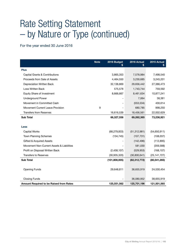# Rate Setting Statement – by Nature or Type (continued)

For the year ended 30 June 2016

|                                                | <b>Note</b> | 2016 Budget<br>\$ | 2016 Actual<br>\$ | 2015 Actual<br>S. |
|------------------------------------------------|-------------|-------------------|-------------------|-------------------|
| <b>Plus</b>                                    |             |                   |                   |                   |
| Capital Grants & Contributions                 |             | 3,865,353         | 7,578,984         | 7,498,540         |
| Proceeds from Sale of Assets                   |             | 4,464,550         | 3,230,685         | 3,245,201         |
| Depreciation Written Back                      |             | 32,138,869        | 29,656,442        | 27,386,473        |
| Loss Written Back                              |             | 575,578           | 1,743,744         | 759,592           |
| Equity Share of Investment                     |             | 8,666,667         | 8,461,634         | 10,877,241        |
| <b>Underground Power</b>                       |             |                   | 7,064             | 38,381            |
| Movement in Committed Cash                     |             |                   | (553, 534)        | 430,614           |
| Movement Current Leave Provision               | 9           |                   | 680,785           | 998,250           |
| <b>Transfers from Reserves</b>                 |             | 16,616,539        | 18,456,561        | 22,002,629        |
| <b>Sub Total</b>                               |             | 66,327,556        | 69,262,365        | 73,236,921        |
| Less                                           |             |                   |                   |                   |
| Capital Works                                  |             | (68, 279, 833)    | (51, 312, 981)    | (54, 650, 911)    |
| Town Planning Schemes                          |             | (134, 745)        | (107, 731)        | (108, 037)        |
| Gifted & Acquired Assets                       |             |                   | (142, 496)        | (112, 895)        |
| Movement Non-Current Assets & Liabilities      |             |                   | 581,030           | (359, 588)        |
| Profit on Disposal Written Back                |             | (2,458,107)       | (529, 953)        | (168, 107)        |
| <b>Transfers to Reserves</b>                   |             | (30, 935, 320)    | (30, 800, 641)    | (25, 141, 727)    |
| <b>Sub Total</b>                               |             | (101, 808, 005)   | (82, 312, 772)    | (80, 541, 265)    |
| <b>Opening Funds</b>                           |             | 29,648,811        | 38,655,919        | 24,530,454        |
| <b>Closing Funds</b>                           |             |                   | 36,080,952        | 38,655,919        |
| <b>Amount Required to be Raised from Rates</b> |             | 125,551,562       | 125,701,196       | 121,501,565       |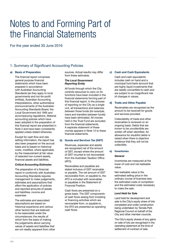# <span id="page-15-0"></span>Notes to and Forming Part of the Financial Statements

For the year ended 30 June 2016

## 1. Summary of Significant Accounting Policies

### a) Basis of Preparation

The financial report comprises general purpose financial statements which have been prepared in accordance with Australian Accounting Standards (as they apply to local governments and not-for-profit entities), Australian Accounting Interpretations, other authoritative pronouncements of the Australian Accounting Standards Board, the Local Government Act 1995 and accompanying regulations. Material accounting policies which have been adopted in the preparation of this financial report are presented in Note 2 and have been consistently applied unless stated otherwise.

Except for cash flow and rate setting information, the report has also been prepared on the accrual basis and is based on historical costs, modified, where applicable, by the measurement at fair value of selected non-current assets, financial assets and liabilities.

### *Critical Accounting Estimates*

The preparation of a financial report in conformity with Australian Accounting Standards requires management to make judgements, estimates and assumptions that affect the application of policies and reported amounts of assets and liabilities, income and expenses.

The estimates and associated assumptions are based on historical experience and various other factors that are believed to be reasonable under the circumstances; the results of which form the basis of making the judgements about carrying values of assets and liabilities that are not readily apparent from other sources. Actual results may differ from these estimates.

#### *The Local Government Reporting Entity*

All funds through which the City controls resources to carry on its functions have been included in the financial statements forming part of this financial report. In the process of reporting on the City as a single unit, all transactions and balances between those funds (for example, loans and transfers between funds) have been eliminated. All monies held in the Trust Fund are excluded from the financial statements. A separate statement of these monies appears in Note 13 to these financial statements.

### b) Goods and Services Tax (GST)

Revenues, expenses and assets are recognised net of the amount of GST, except where the amount of GST incurred is not recoverable from the Australian Taxation Office (ATO).

Receivables and payables are stated inclusive of GST receivable or payable. The net amount of GST recoverable from, or payable to, the ATO is included with receivables or payables in the Statement of Financial Position.

Cash flows are presented on a gross basis. The GST components of cash flows arising from investing or financing activities which are recoverable from, or payable to, the ATO are presented as operating cash flows.

### c) Cash and Cash Equivalents

Cash and cash equivalents includes cash on hand and a municipal fund bank account that are highly liquid investments that are readily convertible to cash and are subject to an insignificant risk of changes in values.

### d) Trade and Other Payable

Receivables are recognised as the amount to be received for goods and services provided.

Collectability of trade and other receivables is reviewed on an ongoing basis. Debts that are known to be uncollectible are written off when identified. An allowance for doubtful debts is raised when there is objective evidence that they will not be collectible.

### e) Inventories

### *General*

Inventories are measured at the lower of cost and net realisable value.

Net realisable value is the estimated selling price in the ordinary course of business less the estimated costs of completion and the estimated costs necessary to make the sale.

### *Land Held for Sale*

Land held for development and sale is the City's equity share of lots completed and under construction being undertaken by Tamala Park Regional Council on behalf of the City and other member councils.

The City's equity shares of any gains on sale of lots are recognised in the operating statement at the time of settlement of contract of sale.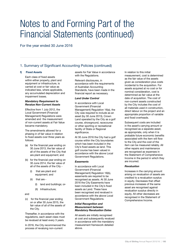For the year ended 30 June 2016

## 1. Summary of Significant Accounting Policies (continued)

### f) Fixed Assets

Each class of fixed assets within either property, plant and equipment or infrastructure, is carried at cost or fair value as indicated less, where applicable, any accumulated depreciation and impairment losses.

#### *Mandatory Requirement to Revalue Non-Current Assets*

Effective from 1 July 2012, the Local Government (Financial Management) Regulations were amended and the measurement of non-current assets at Fair Value became mandatory.

The amendments allowed for a phasing in of fair value in relation to fixed assets over three years as follows:

- (a) for the financial year ending on 30 June 2013, the fair value of all of the assets of the City that are plant and equipment; and
- (b) for the financial year ending on 30 June 2014, the fair value of all of the assets of the City -
	- (i) that are plant and equipment; and
	- (ii) that are
		- (I) land and buildings; or-
		- (II) Infrastructure;

#### and

(c) for the financial year ending on or after 30 June 2015, the fair value of all of the assets of the City.

Thereafter, in accordance with the regulations, each asset class must be revalued at least every 3 years.

In 2016, the City recommenced the process of revaluing non-current

assets for Fair Value in accordance with the Regulations.

Relevant disclosures, in accordance with the requirements of Australian Accounting Standards, have been made in the financial report as necessary.

#### *Land Under Control*

In accordance with Local Government (Financial Management) Regulation 16(a), the City was required to include as an asset (by 30 June 2013), Crown Land operated by the City as a golf course, showground, racecourse or other sporting or recreational facility of State or Regional significance.

At 30 June 2016 the City had a golf course within the City boundaries which has been included in the City's fixed assets as land. This golf course has been valued in accordance with the above Local Government Regulations.

### *Easements*

In accordance with Local Government (Financial Management) Regulation 16(b), easements are required to be recognised as assets. At 30 June 2016 the City Easements have been included in the City's fixed assets as Land. These have been recognised and revalued in accordance with the above Local Government Regulations.

### *Initial Recognition and Measurement between Mandatory Revaluation Dates*

All assets are initially recognised at cost and subsequently revalued in accordance with the mandatory measurement framework detailed above.

In relation to this initial measurement, cost is determined as the fair value of the assets given as consideration plus costs incidental to the acquisition. For assets acquired at no cost or for nominal consideration, cost is determined as fair value at the date of acquisition. The cost of non-current assets constructed by the City includes the cost of all materials used in construction, direct labour on the project and an appropriate proportion of variable and fixed overheads.

Subsequent costs are included in the asset's carrying amount or recognised as a separate asset, as appropriate, only when it is probable future economic benefits associated with the item will flow to the City and the cost of the item can be measured reliably. All other repairs and maintenance are recognised as expenses in the Statement of Comprehensive Income in the period in which they are incurred.

#### *Revaluation*

Increases in the carrying amount arising on revaluation of assets are credited to a revaluation surplus in equity. Decreases that offset previous increases of the same asset are recognised against revaluation surplus directly in equity. All other decreases are recognised in the Statement of Comprehensive Income.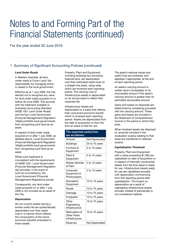For the year ended 30 June 2016

## 1. Summary of Significant Accounting Policies (continued)

### *Land Under Roads*

In Western Australia, all land under roads is Crown Land, the responsibility for managing which, is vested in the local government.

Effective as at 1 July 2008, the City elected not to recognise any value for land under roads acquired on or before 30 June 2008. This accords with the treatment available in Australian Accounting Standard AASB 1051 Land Under Roads and the fact Local Government (Financial Management) Regulation 16(a)(i) prohibits local governments from recognising such land as an asset.

In respect of land under roads acquired on or after 1 July 2008, as detailed above, Local Government (Financial Management) Regulation 16(a)(i) prohibits local governments from recognising such land as an asset.

Whilst such treatment is inconsistent with the requirements of AASB 1051, Local Government (Financial Management) Regulation 4(2) provides, in the event of such an inconsistency, the Local Government (Financial Management) Regulations prevail.

Consequently, any land under roads acquired on or after 1 July 2008 is not included as an asset of the City.

### *Depreciation*

All non-current assets having a limited useful life are systematically depreciated over their useful lives in a manner which reflects the consumption of the future economic benefits embodied in those assets.

Property, Plant and Equipment, including buildings but excluding freehold land, are depreciated over their estimated useful lives on a straight line basis, using rates which are reviewed each reporting period. The carrying cost of infrastructure assets is depreciated on an annual basis to reflect their expected life.

Infrastructure Assets are depreciated on a basis that reflects their consumed economic benefit, which is reviewed each reporting period. Assets are depreciated from the date of acquisition or from the time an asset is held for use.

| The expected useful li <u>ves</u><br>are as follows:              |                 |  |  |
|-------------------------------------------------------------------|-----------------|--|--|
| Artwork                                                           | Not Depreciated |  |  |
| <b>Buildings</b>                                                  | 25 to 75 years  |  |  |
| Furniture &<br>Equipment                                          | 2 to 10 years   |  |  |
| Plant &<br>Equipment                                              | 5 to 15 years   |  |  |
| <b>Mobile Vehicles</b><br>& Plant                                 | 2 to 10 years   |  |  |
| Computer<br>Equipment &<br>Photocopiers                           | 2 to 10 years   |  |  |
| Recreation<br>Equipment                                           | 10 to 15 years  |  |  |
| <b>Roads</b>                                                      | 10 to 75 years  |  |  |
| Drainage                                                          | 10 to 75 years  |  |  |
| Footpaths                                                         | 10 to 75 years  |  |  |
| Other<br>Engineering<br>Infrastructure                            | 10 to 75 years  |  |  |
| <b>Reticulation &amp;</b><br><b>Other Parks</b><br>Infrastructure | 10 to 75 years  |  |  |
| Reserves                                                          | Not Depreciated |  |  |

The asset's residual values and useful lives are reviewed, and adjusted if appropriate, at the end of each reporting period.

An asset's carrying amount is written down immediately to its recoverable amount if the asset's carrying amount is greater than its estimated recoverable amount.

Gains and losses on disposals are determined by comparing proceeds with the carrying amount. These gains and losses are included in the Statement of Comprehensive Income in the period in which they arise.

When revalued assets are disposed of, amounts included in the revaluation surplus relating to that asset are transferred to retained surplus.

### *Capitalisation Threshold*

Property, Plant and Equipment with a value exceeding \$1,000 are capitalised on date of acquisition or in respect of internally constructed assets from the time asset is ready for use. Infrastructure Assets ready for use are capitalised annually, with depreciation commencing from first reporting period after capitalisation. The impact on depreciation as a result of capitalising infrastructure assets annually instead of periodically is not considered material.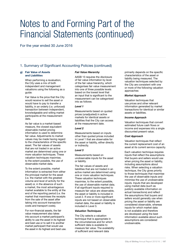For the year ended 30 June 2016

## 1. Summary of Significant Accounting Policies (continued)

#### g) Fair Value of Assets and Liabilities

When performing a revaluation, the City uses a mix of both independent and management valuations using the following as a guide:

Fair Value is the price that the City would receive to sell the asset or would have to pay to transfer a liability, in an orderly (i.e. unforced) transaction between independent, knowledgeable and willing market participants at the measurement date.

As fair value is a market-based measure, the closest equivalent observable market pricing information is used to determine fair value. Adjustments to market values may be made having regard to the characteristics of the specific asset. The fair values of assets that are not traded in an active market are determined using one or more valuation techniques. These valuation techniques maximise. to the extent possible, the use of observable market data.

To the extent possible, market information is extracted from either the principal market for the asset (i.e. the market with the greatest volume and level of activity for the asset) or, in the absence of such a market, the most advantageous market available to the entity at the end of the reporting period (i.e. the market that maximises the receipts from the sale of the asset after taking into account transaction costs and transport costs).

For non-financial assets, the fair value measurement also takes into account a market participant's ability to use the asset in its highest and best use or to sell it to another market participant that would use the asset in its highest and best use.

### *Fair Value Hierarchy*

AASB 13 requires the disclosure of fair value information by level of the fair value hierarchy, which categorises fair value measurement into one of three possible levels based on the lowest level that an input that is significant to the measurement can be categorised into as follows:

#### *Level 1*

Measurements based on quoted prices (unadjusted) in active markets for identical assets or liabilities that the City can access at the measurement date.

### *Level 2*

Measurements based on inputs other than quoted prices included in Level 1 that are observable for the asset or liability, either directly or indirectly.

### *Level 3*

Measurements based on unobservable inputs for the asset or liability.

The fair values of assets and liabilities that are not traded in an active market are determined using one or more valuation techniques. These valuation techniques maximise, to the extent possible, the use of observable market data. If all significant inputs required to measure fair value are observable, the asset or liability is included in Level 2. If one or more significant inputs are not based on observable market data, the asset or liability is included in Level 3.

### *Valuation Techniques*

The City selects a valuation technique that is appropriate in the circumstances and for which sufficient data is available to measure fair value. The availability of sufficient and relevant data

primarily depends on the specific characteristics of the asset or liability being measured. The valuation techniques selected by the City are consistent with one or more of the following valuation approaches:

#### *Market Approach*

Valuation techniques that use prices and other relevant information generated by market transactions for identical or similar assets or liabilities.

#### *Income Approach*

Valuation techniques that convert estimated future cash flows or income and expenses into a single discounted present value.

### *Cost Approach*

Valuation techniques that reflect the current replacement cost of an asset at its current service capacity.

Each valuation technique requires inputs that reflect the assumptions that buyers and sellers would use when pricing the asset or liability, including assumptions about risks. When selecting a valuation technique, the City gives priority to those techniques that maximise the use of observable inputs and minimise the use of unobservable inputs. Inputs that are developed using market data (such as publicly available information on actual transactions) and reflect the assumptions that buyers and sellers would generally use when pricing the asset or liability are considered observable, whereas inputs for which market data is not available and therefore are developed using the best information available about such assumptions are considered unobservable.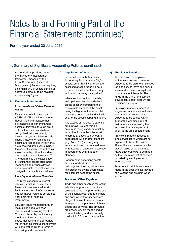For the year ended 30 June 2016

## 1. Summary of Significant Accounting Policies (continued)

As detailed on previous page, the mandatory measurement framework imposed by the Local Government (Financial Management) Regulations requires, as a minimum, all assets carried at a revalued amount to be revalued at least every 3 years.

#### h) Financial Instruments

#### *Investments and Other Financial Assets*

Financial assets in the scope of AASB139: "Financial Instruments: Recognition and measurement" are classified as either financial assets at fair value through profit or loss, loans and receivables, recognised held-to-maturity investments, or available-for-sale financial assets. When financial assets are recognised initially, they are measured at fair value, plus, in the case of investments not at fair value through profit or loss, directly attributable transaction costs. The City determines the classification of its financial assets after initial recognition and, when allowed and appropriate, re-evaluates this designation at each financial year.

#### *Liquidity and Interest Rate Risk*

The City's exposure to interest rate risk, which is the risk that a financial instruments value will fluctuate as a result of changes in market interest rates, is considered negligible for all financial instruments.

Liquidity risk is managed through maintaining adequate cash reserves and borrowing facilities. This is achieved by continuously monitoring forecast and actual cash flows, maintaining an appropriate mix of financial institutions to invest with and setting limits in terms of borrowing and investments.

### i) Impairment of Assets

In accordance with Australian Accounting Standards the City's assets, other than inventories, are assessed at each reporting date to determine whether there is any indication they may be impaired.

Where such an indication exists, an impairment test is carried out on the asset by comparing the recoverable amount of the asset, being the higher of the asset's fair value less costs to sell and value in use, to the asset's carrying amount.

Any excess of the asset's carrying amount over its recoverable amount is recognised immediately in profit or loss, unless the asset is carried at a revalued amount in accordance with another standard (e.g. AASB 116) whereby any impairment loss of a revalued asset is treated as a revaluation decrease in accordance with that other standard.

For non-cash generating assets such as roads, drains, public buildings and the like, value in use is represented by the depreciated replacement cost of the asset.

### **Trade and Other Payables**

Trade and other payables represent liabilities for goods and services provided to the City prior to the end of the financial year that are unpaid and arise when the City becomes obliged to make future payments in respect of the purchase of these goods and services. The amounts are unsecured, are recognised as a current liability and are normally paid within 30 days of recognition.

#### k) Employee Benefits

The provision for employee entitlements relates to amounts expected to be paid to employees for long service leave and annual leave and is based on legal and contractual entitlements. The funds in the City's long service leave reserve bank account are considered adequate.

Provisions made in respect of wages and salaries, annual leave and other long service leave expected to be settled within 12 months, are measured at their nominal values using the remuneration rate expected to apply at the time of settlement.

Provisions made in respect of long service leave which are not expected to be settled within 12 months are measured as the present value of the estimated future cash outflows to be made by the City in respect of services provided by employees up to reporting date.

Provisions for sick leave are not made in the accounts as they are non-vesting and are paid when incurred.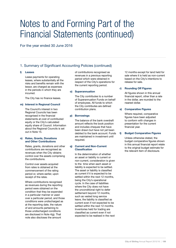For the year ended 30 June 2016

## 1. Summary of Significant Accounting Policies (continued)

### l) Leases

Lease payments for operating leases, where substantially all the risks and benefits remain with the lessor, are charged as expenses in the periods in which they are incurred.

The City has no finance leases.

#### m) Interest in Regional Council

The Council's interest in two Regional Councils has been recognised in the financial statements at cost of contributed equity or the City's calculated equity share of Council. Information about the Regional Councils is set out in Note 15.

#### n) Rates, Grants, Donations and Other Contributions

Rates, grants, donations and other contributions are recognised as revenues when the City obtains control over the assets comprising the contributions.

Control over assets acquired from rates is obtained at the commencement of the rating period or, where earlier, upon receipt of the rates.

Where contributions recognised as revenues during the reporting period were obtained on the condition that they be expended in a particular manner or used over a particular period, and those conditions were undischarged as at the reporting date, the nature of and amounts pertaining to those undischarged conditions are disclosed in Note 4(g). That note also discloses the amount

of contributions recognised as revenues in a previous reporting period which were obtained in respect of the City's operations for the current reporting period.

### o) Superannuation

The City contributes to a number of Superannuation Funds on behalf of employees. All funds to which the City contributes are defined contribution plans.

### p) Borrowings

The balance of the bank overdraft amount reflects the book position and includes cheques that have been drawn but have not yet been debited to the bank account. Funds are maintained in investment until required.

### q) Current and Non-Current Classification

In the determination of whether an asset or liability is current or non-current, consideration is given to the time when each asset or liability is expected to be settled. The asset or liability is classified as current if it is expected to be settled within the next 12 months, being the City's operational cycle. In the case of liabilities where the City does not have the unconditional right to defer settlement beyond 12 months, such as vested long service leave, the liability is classified as current even if not expected to be settled within the next 12 months. Inventories held for trading are classified as current even if not expected to be realised in the next

12 months except for land held for sale where it is held as non-current based on the City's intentions to release for sale.

### r) Rounding Off Figures

All figures shown in this annual financial report, other than a rate in the dollar, are rounded to the nearest dollar.

#### s) Comparative Figures

Where required, comparative figures have been adjusted to conform with changes in presentation for the current financial year.

### t) Budget Comparative Figures

Unless otherwise stated, the budget comparative figures shown in this annual financial report relate to the original budget estimate for the relevant item of disclosure.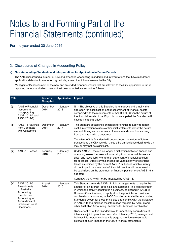<span id="page-21-0"></span>For the year ended 30 June 2016

### 2. Disclosures of Changes in Accounting Policy

#### a) New Accounting Standards and Interpretations for Application in Future Periods

The AASB has issued a number of new and amended Accounting Standards and Interpretations that have mandatory application dates for future reporting periods, some of which are relevant to the City.

Management's assessment of the new and amended pronouncements that are relevant to the City, applicable to future reporting periods and which have not yet been adopted are set out as follows:

| <b>Title</b> |                                                                                                                                                 | <b>Issued</b> /<br><b>Compiled</b> | <b>Applicable</b> | <b>Impact</b>                                                                                                                                                                                                                                                                                                                                                                                                                                                                                                                                                                                                                                                                                                                                                                      |
|--------------|-------------------------------------------------------------------------------------------------------------------------------------------------|------------------------------------|-------------------|------------------------------------------------------------------------------------------------------------------------------------------------------------------------------------------------------------------------------------------------------------------------------------------------------------------------------------------------------------------------------------------------------------------------------------------------------------------------------------------------------------------------------------------------------------------------------------------------------------------------------------------------------------------------------------------------------------------------------------------------------------------------------------|
| (i)          | AASB 9 Financial<br>Instruments<br><i>(incorporating)</i><br>AASB 2014-7 and<br>AASB 2014-8)                                                    | December<br>2014                   | 1 January<br>2018 | Nil - The objective of this Standard is to improve and simplify the<br>approach for classification and measurement of financial assets<br>compared with the requirements of AASB 139. Given the nature of<br>the financial assets of the City, it is not anticipated the Standard will<br>have any material effect.                                                                                                                                                                                                                                                                                                                                                                                                                                                                |
| (ii)         | AASB 15 Revenue<br>from Contracts<br>with Customers                                                                                             | December<br>2014                   | 1 January<br>2017 | This Standard establishes principles for entities to apply to report<br>useful information to users of financial statements about the nature,<br>amount, timing and uncertainty of revenue and cash flows arising<br>from a contract with a customer.                                                                                                                                                                                                                                                                                                                                                                                                                                                                                                                              |
|              |                                                                                                                                                 |                                    |                   | The effect of this Standard will depend upon the nature of future<br>transactions the City has with those third parties it has dealing with. It<br>may or may not be significant.                                                                                                                                                                                                                                                                                                                                                                                                                                                                                                                                                                                                  |
| (iii)        | AASB 16 Leases                                                                                                                                  | February<br>2016                   | 1 January<br>2019 | Under AASB 16 there is no longer a distinction between finance and<br>operating leases. Lessees will now bring to account a right-to-use<br>asset and lease liability onto their statement of financial position<br>for all leases. Effectively this means the vast majority of operating<br>leases as defined by the current AASB 117 Leases which currently<br>do not impact the statement of financial position will be required to<br>be capitalised on the statement of financial position once AASB 16 is<br>adopted.                                                                                                                                                                                                                                                        |
| (iv)         | AASB 2014-3<br>Amendments<br>to Australian<br>Accounting<br>Standards-<br>Accounting for<br>Acquisitions of<br>Interests in Joint<br>Operations | August<br>2014                     | 1 January<br>2016 | Currently, the City will not be impacted by AASB 16.<br>This Standard amends AASB 11: Joint Arrangements to require the<br>acquirer of an interest (both initial and additional) in a joint operation<br>in which the activity constitutes a business, as defined in AASB 3:<br>Business Combinations, to apply all of the principles on business<br>combinations accounting in AASB 3 and other Australian Accounting<br>Standards except for those principles that conflict with the guidance<br>in AASB 11; and disclose the information required by AASB 3 and<br>other Australian Accounting Standards for business combination.<br>Since adoption of this Standard would impact only acquisitions of<br>interests in joint operations on or after 1 January 2016, management |
|              |                                                                                                                                                 |                                    |                   | believes it is impracticable at this stage to provide a reasonable<br>estimate of such impact on the City's financial statements                                                                                                                                                                                                                                                                                                                                                                                                                                                                                                                                                                                                                                                   |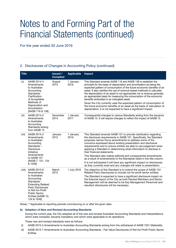For the year ended 30 June 2016

### 2. Disclosures of Changes in Accounting Policy (continued)

| <b>Title</b> |                                                                                                                                                                                                            | <b>Issued /</b><br><b>Compiled</b> | <b>Applicable</b> | Impact                                                                                                                                                                                                                                                                                                                                                                                                                                                                                                                                                                                                                                                                                                      |
|--------------|------------------------------------------------------------------------------------------------------------------------------------------------------------------------------------------------------------|------------------------------------|-------------------|-------------------------------------------------------------------------------------------------------------------------------------------------------------------------------------------------------------------------------------------------------------------------------------------------------------------------------------------------------------------------------------------------------------------------------------------------------------------------------------------------------------------------------------------------------------------------------------------------------------------------------------------------------------------------------------------------------------|
| (v)          | AASB 2014-4<br>Amendments<br>to Australian<br>Accounting<br>Standards -<br>Clarification<br>of Acceptable<br>Methods of<br>Depreciation and<br>Amortisation<br>[AASB 116 & 138]                            | August<br>2014                     | 1 January<br>2016 | This Standard amends AASB 116 and AASB 138 to establish the<br>principle for the basis of depreciation and amortisation as being the<br>expected pattern of consumption of the future economic benefits of an<br>asset. It also clarifies the use of revenue-based methods to calculate<br>the depreciation of an asset is not appropriate nor is revenue generally<br>an appropriate basis for measuring the consumption of the economic<br>benefits embodied in an intangible asset.<br>Given the City currently uses the expected pattern of consumption of<br>the future economic benefits of an asset as the basis of calculation of<br>depreciation, it is not expected to have a significant impact. |
| (vi)         | AASB 2014-5<br>Amendments<br>to Australian<br>Accounting<br>Standards arising<br>from AASB 15                                                                                                              | December<br>2014                   | 1 January<br>2017 | Consequential changes to various Standards arising from the issuance<br>of AASB 15. It will require changes to reflect the impact of AASB 15.                                                                                                                                                                                                                                                                                                                                                                                                                                                                                                                                                               |
| (vii)        | AASB 2015-2<br>Amendments<br>to Australian<br>Accounting<br>Standards-<br><b>Disclosure</b><br>Initiative:<br>Amendments<br>to AASB 101                                                                    | January<br>2015                    | 1 January<br>2016 | This Standard amends AASB 101 to provide clarification regarding<br>the disclosure requirements in AASB 101. Specifically, the Standard<br>proposes narrow-focus amendments to address some of the<br>concerns expressed about existing presentation and disclosure<br>requirements and to ensure entities are able to use judgement when<br>applying a Standard in determining what information to disclose in<br>their financial statements.<br>This Standard also makes editorial and consequential amendments<br>as a result of amendments to the Standards listed in the title column.                                                                                                                 |
|              | [AASB 7, 101, 134<br>& 1049]                                                                                                                                                                               |                                    |                   | It is not anticipated it will have any significant impact on disclosures<br>as they currently exist and any changes will relate to presentation.                                                                                                                                                                                                                                                                                                                                                                                                                                                                                                                                                            |
| (viii)       | AASB 2015-6<br>Amendments<br>to Australian<br>Accounting<br>Standards -<br><b>Extending Related</b><br>Party Disclosures<br>to Not-for-Profit<br><b>Public Sector</b><br>Entities [AASB 10,<br>124 & 1049] | March<br>2015                      | 1 July 2016       | The objective of this Standard is to extend the scope of AASB 124<br>Related Party Disclosures to include not-for-profit sector entities.<br>The Standard is expected to have a significant disclosure impact on<br>the financial report of the City as both Elected Members and Senior<br>Management will be deemed to be Key Management Personnel and<br>resultant disclosures will be necessary.                                                                                                                                                                                                                                                                                                         |

Notes: (1) Applicable to reporting periods commencing on or after the given date.

#### b) Adoption of New and Revised Accounting Standards

During the current year, the City adopted all of the new and revised Australian Accounting Standards and Interpretations which were compiled, became mandatory and which were applicable to its operations.

These new and revised standards were as follows:

- (i) AASB 2015-3 Amendments to Australian Accounting Standards arising from the withdrawal of AASB 1031 Materiality
- (ii) AASB 2015-7 Amendments to Australian Accounting Standards Fair Value Disclosures of Not-for-Profit Public Sector **Entities**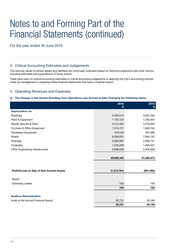<span id="page-23-0"></span>For the year ended 30 June 2016

## 3. Critical Accounting Estimates and Judgements

The carrying values of certain assets and liabilities are continually evaluated based on historical experience and other factors, including estimates and expectations of future events.

There have been no critical accounting estimates or critical accounting judgements in applying the City's accounting policies made by management in preparing these financial statements that have a material impact.

## 4. Operating Revenues and Expenses

### a) The Change in Net Assets Resulting from Operations was Arrived at After Charging the Following Items:

|                                             | 2016<br>\$    | 2015<br>\$ |
|---------------------------------------------|---------------|------------|
| <b>Depreciation on:</b>                     |               |            |
| <b>Buildings</b>                            | 5,329,014     | 3,097,230  |
| Plant & Equipment                           | 1,732,122     | 1,330,454  |
| Mobile Vehicles & Plant                     | 3,215,464     | 3,479,450  |
| Furniture & Office Equipment                | 1,513,721     | 1,609,164  |
| <b>Recreation Equipment</b>                 | 479,546       | 454,366    |
| Roads                                       | 8,028,624     | 7,904,797  |
| Drainage                                    | 2,655,684     | 2,598,747  |
| Footpaths                                   | 1,616,209     | 1,606,327  |
| Other Engineering Infrastructure            | 5,086,058     | 5,305,938  |
|                                             |               |            |
|                                             | 29,656,442    | 27,386,473 |
|                                             |               |            |
| Profit/(Loss) on Sale of Non-Current Assets | (1, 213, 791) | (591, 485) |
| Rental                                      |               |            |
| <b>Operating Leases</b>                     | 100           | 100        |
|                                             | 100           | 100        |
|                                             |               |            |
| <b>Auditors Remuneration</b>                |               |            |
| Audit of the Annual Financial Report        | 22,731        | 35,169     |
|                                             | 22,731        | 35,169     |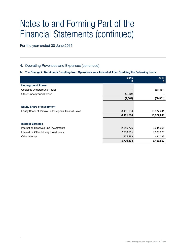For the year ended 30 June 2016

## 4. Operating Revenues and Expenses (continued)

### b) The Change in Net Assets Resulting from Operations was Arrived at After Crediting the Following Items:

|                                                    | 2016<br>\$ | 2015<br>\$ |
|----------------------------------------------------|------------|------------|
| <b>Underground Power</b>                           |            |            |
| Coolbinia Underground Power                        |            | (38, 381)  |
| Other Underground Power                            | (7,064)    |            |
|                                                    | (7,064)    | (38, 381)  |
|                                                    |            |            |
| <b>Equity Share of Investment</b>                  |            |            |
| Equity Share of Tamala Park Regional Council Sales | 8,461,634  | 10,877,241 |
|                                                    | 8,461,634  | 10,877,241 |
|                                                    |            |            |
| <b>Interest Earnings</b>                           |            |            |
| Interest on Reserve Fund Investments               | 2,346,776  | 2,644,695  |
| Interest on Other Money Investments                | 2,988,965  | 3,000,828  |
| Other Interest                                     | 434,393    | 481,297    |
|                                                    | 5,770,134  | 6,126,820  |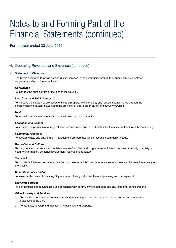For the year ended 30 June 2016

## 4. Operating Revenues and Expenses (continued)

### c) Statement of Objective

The City is dedicated to providing high quality services to the community through the various service orientated programmes which it has established.

#### *Governance*

To manage the administrative functions of the Council.

#### *Law, Order and Public Safety*

To increase the support to protection of life and property within the City and reduce inconvenience through the enforcement of statutory powers and the provision of public order, safety and security services.

#### *Health*

To maintain and improve the health and well-being of the community.

#### *Education and Welfare*

To facilitate the provision of a range of services and encourage their utilisation for the social well-being of the community.

#### *Community Amenities*

To develop waste and environment management programmes which recognise community needs.

#### *Recreation and Culture*

To plan, construct, maintain and initiate a range of facilities and programmes which enables the community to satisfy its need for information, personal development, recreation and leisure.

#### *Transport*

To provide facilities and services within the road reserve which promote safety, ease of access and improve the amenity of the locality.

### *General Purpose Funding*

To minimise the costs of financing City operations through effective financial planning and management.

#### *Economic Services*

To plan facilities and regulate land use consistent with community expectations and environmental considerations.

#### *Other Property and Services*

- 1. To provide a community information network that complements and supports the corporate and programme objectives of the City.
- 2. To facilitate, develop and maintain City buildings and property.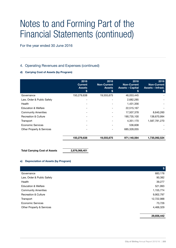For the year ended 30 June 2016

## 4. Operating Revenues and Expenses (continued)

### d) Carrying Cost of Assets (by Program)

|                                 | 2016<br><b>Current</b><br><b>Assets</b><br>\$ | 2016<br><b>Non-Current</b><br><b>Assets</b><br>S | 2016<br><b>Non-Current</b><br><b>Assets - Capital</b><br>S | 2016<br><b>Non-Current</b><br><b>Assets - Infrast.</b><br>\$ |
|---------------------------------|-----------------------------------------------|--------------------------------------------------|------------------------------------------------------------|--------------------------------------------------------------|
| Governance                      | 150,279,638                                   | 19,555,675                                       | 46,053,445                                                 |                                                              |
| Law, Order & Public Safety      |                                               |                                                  | 2,682,285                                                  |                                                              |
| Health                          |                                               |                                                  | 1,431,356                                                  |                                                              |
| <b>Education &amp; Welfare</b>  |                                               |                                                  | 22,515,167                                                 |                                                              |
| <b>Community Amenities</b>      |                                               |                                                  | 17,507,378                                                 | 8,640,260                                                    |
| <b>Recreation &amp; Culture</b> |                                               |                                                  | 190,735,100                                                | 138,670,994                                                  |
| Transport                       |                                               |                                                  | 4,351,170                                                  | 1,587,781,270                                                |
| Economic Services               |                                               |                                                  | 536,608                                                    |                                                              |
| Other Property & Services       |                                               |                                                  | 685,328,055                                                |                                                              |
|                                 | 150,279,638                                   | 19,555,675                                       | 971,140,564                                                | 1,735,092,524                                                |

Total Carrying Cost of Assets 2,876,068,401

### e) Depreciation of Assets (by Program)

|                                      | \$         |
|--------------------------------------|------------|
| Governance                           | 683,176    |
| Law, Order & Public Safety           | 90,382     |
| Health                               | 39,277     |
| <b>Education &amp; Welfare</b>       | 521,993    |
| <b>Community Amenities</b>           | 1,155,774  |
| <b>Recreation &amp; Culture</b>      | 9,902,797  |
| Transport                            | 12,722,988 |
| <b>Economic Services</b>             | 73,726     |
| <b>Other Property &amp; Services</b> | 4,466,329  |
|                                      | 29,656,442 |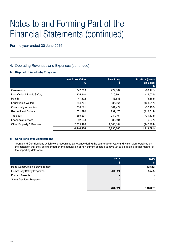For the year ended 30 June 2016

## 4. Operating Revenues and Expenses (continued)

### f) Disposal of Assets (by Program)

|                                      | <b>Net Book Value</b><br>\$ | <b>Sale Price</b><br>\$ | <b>Profit or (Loss)</b><br>on Sales<br>\$ |
|--------------------------------------|-----------------------------|-------------------------|-------------------------------------------|
| Governance                           | 347,309                     | 277,834                 | (69, 475)                                 |
| Law, Order & Public Safety           | 225,940                     | 210.864                 | (15,076)                                  |
| Health                               | 47,502                      | 43,636                  | (3,866)                                   |
| <b>Education &amp; Welfare</b>       | 254,781                     | 85,864                  | (168, 917)                                |
| <b>Community Amenities</b>           | 353,591                     | 301,422                 | (52, 169)                                 |
| <b>Recreation &amp; Culture</b>      | 651,990                     | 232,176                 | (419, 814)                                |
| Transport                            | 265,297                     | 234.164                 | (31, 133)                                 |
| Economic Services                    | 42,638                      | 36,591                  | (6,047)                                   |
| <b>Other Property &amp; Services</b> | 2,255,428                   | 1,808,134               | (447, 294)                                |
|                                      | 4,444,476                   | 3,230,685               | (1, 213, 791)                             |

### g) Conditions over Contributions

Grants and Contributions which were recognised as revenue during the year or prior years and which were obtained on the condition that they be expended on the acquisition of non-current assets but have yet to be applied in that manner at the reporting date were:

|                                  | 2016<br>\$ | 2015<br>S |
|----------------------------------|------------|-----------|
| Road Construction & Development  |            | 62,512    |
| <b>Community Safety Programs</b> | 701,621    | 85,575    |
| <b>Funded Projects</b>           |            |           |
| Social Services Programs         | -          |           |
|                                  |            |           |
|                                  | 701,621    | 148,087   |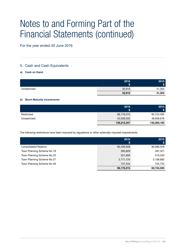<span id="page-28-0"></span>For the year ended 30 June 2016

## 5. Cash and Cash Equivalents

### a) Cash on Hand

|              | 2016<br>\$ | 2015<br>50 |
|--------------|------------|------------|
| Unrestricted | 32,910     | 41,354     |
|              | 32,910     | 41,354     |

### b) Short Maturity Investments

|              | 2016<br>S   | 2015<br>\$  |
|--------------|-------------|-------------|
| Restricted   | 96,176,315  | 83,724,505  |
| Unrestricted | 42,036,032  | 48,658,678  |
|              | 138,212,347 | 132,383,183 |

The following restrictions have been imposed by regulations or other externally imposed requirements:

|                             | 2016<br>\$ | 2015<br>\$ |
|-----------------------------|------------|------------|
| <b>Consolidated Reserve</b> | 92,430,509 | 80,086,429 |
| Town Planning Scheme No 18  | 295,829    | 287,321    |
| Town Planning Scheme No 25  | 531,609    | 516,320    |
| Town Planning Scheme No 27  | 2,171,124  | 2,108,682  |
| Town Planning Scheme No 28  | 747.244    | 725,753    |
|                             | 96,176,315 | 83,724,505 |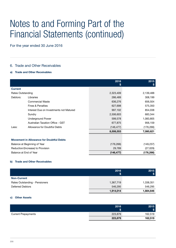<span id="page-29-0"></span>For the year ended 30 June 2016

### 6. Trade and Other Receivables

### a) Trade and Other Receivables

|                                                 |                                         | 2016<br>\$ | 2015<br>\$ |
|-------------------------------------------------|-----------------------------------------|------------|------------|
| <b>Current</b>                                  |                                         |            |            |
| <b>Rates Outstanding</b>                        |                                         | 2,323,409  | 2,139,488  |
| Debtors:                                        | Libraries                               | 286,489    | 308,199    |
|                                                 | <b>Commercial Waste</b>                 | 636,276    | 656,504    |
|                                                 | <b>Fines &amp; Penalties</b>            | 627,698    | 575,350    |
|                                                 | Interest Due on Investments not Matured | 997,102    | 854,038    |
|                                                 | Sundry                                  | 2,506,603  | 683,344    |
|                                                 | <b>Underground Power</b>                | 599,578    | 1,083,805  |
|                                                 | Australian Taxation Office - GST        | 677,875    | 956,159    |
| Less:                                           | Allowance for Doubtful Debts            | (146, 477) | (176, 266) |
|                                                 |                                         | 8,508,553  | 7,080,621  |
|                                                 |                                         |            |            |
| <b>Movement in Allowance for Doubtful Debts</b> |                                         |            |            |
| Balance at Beginning of Year                    |                                         | (176, 266) | (149, 237) |
| Reduction/(Increase) to Provision               |                                         | 29,789     | (27, 029)  |
| Balance at End of Year                          |                                         | (146, 477) | (176, 266) |

### b) Trade and Other Receivables

|                                | 2016<br>\$ | 2015<br>$\mathbf{s}$ |
|--------------------------------|------------|----------------------|
| <b>Non-Current</b>             |            |                      |
| Rates Outstanding - Pensioners | 1,367,719  | 1,338,351            |
| Deferred Debtors               | 546,295    | 546,295              |
|                                | 1,914,014  | 1,884,646            |

#### c) Other Assets

|                            | 2016<br>S | 2015<br>¢<br>จ |
|----------------------------|-----------|----------------|
| <b>Current Prepayments</b> | 223,879   | 162,519        |
|                            | 223,879   | 162,519        |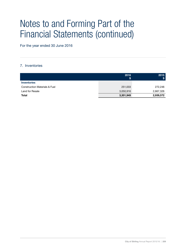<span id="page-30-0"></span>For the year ended 30 June 2016

## 7. Inventories

|                                          | 2016<br>\$ | 2015<br>$\mathbf{\$}$ |
|------------------------------------------|------------|-----------------------|
| <b>Inventories</b>                       |            |                       |
| <b>Construction Materials &amp; Fuel</b> | 251,033    | 272,246               |
| Land for Resale                          | 3,050,916  | 2,667,326             |
| <b>Total</b>                             | 3,301,949  | 2,939,572             |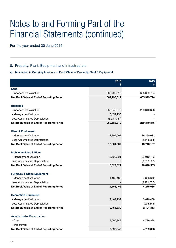<span id="page-31-0"></span>For the year ended 30 June 2016

## 8. Property, Plant, Equipment and Infrastructure

### a) Movement in Carrying Amounts of Each Class of Property, Plant & Equipment

|                                           | 2016<br>S   | 2015<br>S     |
|-------------------------------------------|-------------|---------------|
| Land                                      |             |               |
| - Independent Valuation                   | 662,793,312 | 665,399,724   |
| Net Book Value at End of Reporting Period | 662,793,312 | 665,399,724   |
| <b>Buildings</b>                          |             |               |
| - Independent Valuation                   | 259,340,376 | 259,340,376   |
| - Management Valuation                    | 5,459,755   |               |
| Less Accumulated Depreciation             | (5,211,361) |               |
| Net Book Value at End of Reporting Period | 259,588,770 | 259,340,376   |
| <b>Plant &amp; Equipment</b>              |             |               |
| - Management Valuation                    | 13,804,607  | 16,290,011    |
| Less Accumulated Depreciation             |             | (2,543,854)   |
| Net Book Value at End of Reporting Period | 13,804,607  | 13,746,157    |
| <b>Mobile Vehicles &amp; Plant</b>        |             |               |
| - Management Valuation                    | 18,629,821  | 27,019,143    |
| Less Accumulated Depreciation             |             | (6,398,608)   |
| Net Book Value at End of Reporting Period | 18,629,821  | 20,620,535    |
| <b>Furniture &amp; Office Equipment</b>   |             |               |
| - Management Valuation                    | 4,163,466   | 7,396,642     |
| Less Accumulated Depreciation             |             | (3, 121, 556) |
| Net Book Value at End of Reporting Period | 4,163,466   | 4,275,086     |
| <b>Recreation Equipment</b>               |             |               |
| - Management Valuation                    | 2,464,739   | 3,696,458     |
| Less Accumulated Depreciation             |             | (905, 145)    |
| Net Book Value at End of Reporting Period | 2,464,739   | 2,791,313     |
| <b>Assets Under Construction</b>          |             |               |
| - Cost                                    | 9,695,849   | 4,789,828     |
| - Transferred                             |             |               |
| Net Book Value at End of Reporting Period | 9,695,849   | 4,789,828     |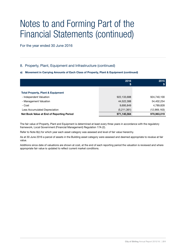For the year ended 30 June 2016

## 8. Property, Plant, Equipment and Infrastructure (continued)

### a) Movement in Carrying Amounts of Each Class of Property, Plant & Equipment (continued)

|                                              | 2016<br>\$  | 2015<br><b>S</b> |
|----------------------------------------------|-------------|------------------|
|                                              |             |                  |
| <b>Total Property, Plant &amp; Equipment</b> |             |                  |
| - Independent Valuation                      | 922,133,688 | 924,740,100      |
| - Management Valuation                       | 44,522,388  | 54,402,254       |
| - Cost                                       | 9,695,849   | 4,789,828        |
| Less Accumulated Depreciation                | (5,211,361) | (12,969,163)     |
| Net Book Value at End of Reporting Period    | 971,140,564 | 970,963,019      |

The fair value of Property, Plant and Equipment is determined at least every three years in accordance with the regulatory framework, Local Government (Financial Management) Regulation 17A (2).

Refer to Note 8(c) for which year each asset category was assesed and level of fair value hierarchy.

As at 30 June 2016 a parcel of assets in the Building asset category were assesed and deemed appropriate to revalue at fair value.

Additions since date of valuations are shown at cost, at the end of each reporting period the valuation is reviewed and where appropriate fair value is updated to reflect current market conditions.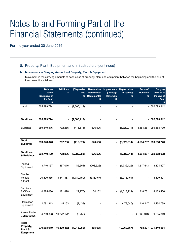For the year ended 30 June 2016

### 8. Property, Plant, Equipment and Infrastructure (continued)

#### b) Movements in Carrying Amounts of Property, Plant & Equipment

Movement in the carrying amounts of each class of property, plant and equipment between the beginning and the end of the current financial year.

|                                                   | <b>Balance</b><br>at the<br><b>Beginning of</b><br>the Year<br>\$ | <b>Additions</b><br>$\hat{\mathbf{s}}$ | (Disposals)<br><b>Net</b><br>\$ | <b>Revaluation</b><br>Increments/<br>(Decrements)<br>\$ | <b>Impairments</b><br>(Losses)/<br><b>Reversals</b><br>\$ | <b>Depreciation</b><br>(Expense)<br>\$ | Reclass/<br><b>Transfers</b><br>\$ | Carrying<br><b>Amount at</b><br>the End of<br>Year<br>\$ |
|---------------------------------------------------|-------------------------------------------------------------------|----------------------------------------|---------------------------------|---------------------------------------------------------|-----------------------------------------------------------|----------------------------------------|------------------------------------|----------------------------------------------------------|
| Land                                              | 665,399,724                                                       | $\overline{\phantom{a}}$               | (2,606,412)                     |                                                         |                                                           | L,                                     |                                    | - 662,793,312                                            |
| <b>Total Land</b>                                 | 665,399,724                                                       | $\blacksquare$                         | (2,606,412)                     | ä,                                                      | $\blacksquare$                                            | $\blacksquare$                         |                                    | - 662,793,312                                            |
| <b>Buildings</b>                                  | 259,340,376                                                       | 732,286                                | (415, 671)                      | 676,506                                                 | $\overline{\phantom{0}}$                                  | (5,329,014)                            |                                    | 4,584,287 259,588,770                                    |
| <b>Total</b><br><b>Buildings</b>                  | 259,340,376                                                       | 732,286                                | (415, 671)                      | 676,506                                                 |                                                           | (5,329,014)                            |                                    | 4,584,287 259,588,770                                    |
| <b>Total Land</b><br>& Buildings                  | 924,740,100                                                       | 732,286                                | (3,022,083)                     | 676,506                                                 |                                                           | (5,329,014)                            | 4,584,287                          | 922,382,082                                              |
| Plant &<br>Equipment                              | 13,746,157                                                        | 867,016                                | (85, 561)                       | (208, 526)                                              |                                                           | (1,732,122)                            | 1,217,643                          | 13,804,607                                               |
| Mobile<br>Vehicle<br>& Plant                      | 20,620,535                                                        | 3,341,367                              | (1,780,150)                     | (336, 467)                                              |                                                           | (3,215,464)                            |                                    | 18,629,821                                               |
| Furniture<br>& Office<br>Equipment                | 4,275,086                                                         | 1,171,478                              | (22, 270)                       | 34,162                                                  |                                                           | (1,513,721)                            | 218,731                            | 4,163,466                                                |
| Recreation<br>Equipment                           | 2,791,313                                                         | 45,163                                 | (2, 438)                        |                                                         |                                                           | (479, 546)                             | 110,247                            | 2,464,739                                                |
| <b>Assets Under</b><br>Construction               | 4,789,828                                                         | 10,272,172                             | (3,750)                         |                                                         |                                                           | $\overline{\phantom{a}}$               | (5,362,401)                        | 9,695,849                                                |
| <b>Total</b><br>Property,<br>Plant &<br>Equipment | 970,963,019                                                       | 16,429,482                             | (4,916,252)                     | 165,675                                                 | ۰                                                         | (12, 269, 867)                         |                                    | 768,507 971,140,564                                      |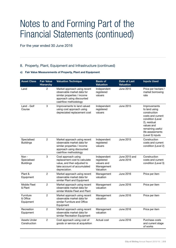For the year ended 30 June 2016

### 8. Property, Plant, Equipment and Infrastructure (continued)

### c) Fair Value Measurements of Property, Plant and Equipment

| <b>Asset Class</b>                      | <b>Fair Value</b><br><b>Hierarchy</b> | <b>Valuation Technique</b>                                                                                                                     | <b>Basis of</b><br><b>Valuation</b>                                 | <b>Date of Last</b><br><b>Valuation</b> | <b>Inputs Used</b>                                                                                                                                                               |
|-----------------------------------------|---------------------------------------|------------------------------------------------------------------------------------------------------------------------------------------------|---------------------------------------------------------------------|-----------------------------------------|----------------------------------------------------------------------------------------------------------------------------------------------------------------------------------|
| Land                                    | 2                                     | Market approach using recent<br>observable market data for<br>similar properties / income<br>approach using discounted<br>cashflow methodology | Independent<br>registered<br>valuers                                | June 2015                               | Price per hectare /<br>market borrowing<br>rate                                                                                                                                  |
| Land - Golf<br>Course                   | 3                                     | Improvements to land valued<br>using cost approach using<br>depreciated replacement cost                                                       | Independent<br>registered<br>valuers                                | June 2015                               | Improvements<br>to land using<br>construction<br>costs and current<br>condition (Level<br>2), residual<br>values and<br>remaining useful<br>life assessments<br>(Level 3) inputs |
| Specialised<br><b>Buildings</b>         | $\overline{c}$                        | Market approach using recent<br>observable market data for<br>similar properties / income<br>approach using discounted<br>cashflow methodology | Independent<br>registered<br>valuers                                | June 2015                               | Construction<br>costs and current<br>condition (Level 2)                                                                                                                         |
| Non-<br>Specialised<br><b>Buildings</b> | 3                                     | Cost approach using<br>replacement cost to calculate<br>value, and then adjusted to<br>take account of accumulated<br>depreciation.            | Independent<br>registered<br>valuers and<br>Management<br>Valuation | June 2015 and<br>June 2016              | Construction<br>costs and current<br>condition (Level 3)                                                                                                                         |
| Plant &<br>Equipment                    | $\overline{2}$                        | Market approach using recent<br>observable market data for<br>similar Plant and Equipment                                                      | Management<br>valuation                                             | <b>June 2016</b>                        | Price per item                                                                                                                                                                   |
| <b>Mobile Fleet</b><br>& Plant          | $\overline{2}$                        | Market approach using recent<br>observable market data for<br>similar Mobile Fleet and Plant                                                   | Management<br>valuation                                             | June 2016                               | Price per item                                                                                                                                                                   |
| Furniture<br>& Office<br>Equipment      | $\overline{c}$                        | Market approach using recent<br>observable market data for<br>similar Furniture and Office<br>Equipment                                        | Management<br>valuation                                             | June 2016                               | Price per item                                                                                                                                                                   |
| Recreation<br>Equipment                 | $\overline{c}$                        | Market approach using recent<br>observable market data for<br>similar Recreation Equipment                                                     | Management<br>valuation                                             | June 2016                               | Price per item                                                                                                                                                                   |
| Assets Under<br>Construction            | $\overline{2}$                        | Cost approach using cost of<br>goods or service at acquisition                                                                                 | Actual cost                                                         | June 2016                               | Purchase costs<br>and current stage<br>of works                                                                                                                                  |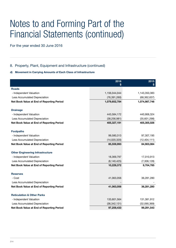For the year ended 30 June 2016

## 8. Property, Plant, Equipment and Infrastructure (continued)

### d) Movement in Carrying Amounts of Each Class of Infrastructure

|                                           | 2016<br>S      | 2015<br>\$     |
|-------------------------------------------|----------------|----------------|
| <b>Roads</b>                              |                |                |
| - Independent Valuation                   | 1,156,044,044  | 1,143,350,383  |
| Less Accumulated Depreciation             | (76, 391, 260) | (68, 362, 637) |
| Net Book Value at End of Reporting Period | 1,079,652,784  | 1,074,987,746  |
| <b>Drainage</b>                           |                |                |
| - Independent Valuation                   | 443,584,172    | 440,906,324    |
| Less Accumulated Depreciation             | (38, 256, 981) | (35,601,298)   |
| Net Book Value at End of Reporting Period | 405,327,191    | 405,305,026    |
| <b>Footpaths</b>                          |                |                |
| - Independent Valuation                   | 99,580,313     | 97,307,195     |
| Less Accumulated Depreciation             | (14,020,320)   | (12, 404, 111) |
| Net Book Value at End of Reporting Period | 85,559,993     | 84,903,084     |
| <b>Other Engineering Infrastructure</b>   |                |                |
| - Independent Valuation                   | 18,369,797     | 17,010,913     |
| Less Accumulated Depreciation             | (8, 140, 425)  | (7,306,128)    |
| Net Book Value at End of Reporting Period | 10,229,372     | 9,704,785      |
| <b>Reserves</b>                           |                |                |
| - Cost                                    | 41,063,056     | 36,281,280     |
| Less Accumulated Depreciation             |                |                |
| Net Book Value at End of Reporting Period | 41,063,056     | 36,281,280     |
| <b>Reticulation &amp; Other Parks</b>     |                |                |
| - Independent Valuation                   | 133,601,564    | 131,381,912    |
| Less Accumulated Depreciation             | (36, 342, 131) | (32,090,369)   |
| Net Book Value at End of Reporting Period | 97,259,433     | 99,291,543     |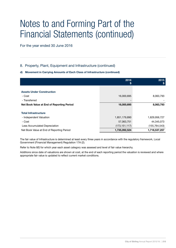For the year ended 30 June 2016

## 8. Property, Plant, Equipment and Infrastructure (continued)

### d) Movement in Carrying Amounts of Each Class of Infrastructure (continued)

|                                           | 2016<br>\$      | 2015<br>\$      |
|-------------------------------------------|-----------------|-----------------|
| <b>Assets Under Construction</b>          |                 |                 |
| - Cost                                    | 16,000,695      | 8,063,793       |
| - Transferred                             |                 |                 |
| Net Book Value at End of Reporting Period | 16,000,695      | 8,063,793       |
|                                           |                 |                 |
| <b>Total Infrastructure</b>               |                 |                 |
| - Independent Valuation                   | 1,851,179,890   | 1,829,956,727   |
| - Cost                                    | 57,063,751      | 44,345,073      |
| Less Accumulated Depreciation             | (173, 151, 117) | (155, 764, 543) |
| Net Book Value at End of Reporting Period | 1,735,092,524   | 1,718,537,257   |

The fair value of Infrastructure is determined at least every three years in accordance with the regulatory framework, Local Government (Financial Management) Regulation 17A (2).

Refer to Note 8(f) for which year each asset category was assesed and level of fair value hierarchy.

Additions since date of valuations are shown at cost, at the end of each reporting period the valuation is reviewed and where appropriate fair value is updated to reflect current market conditions.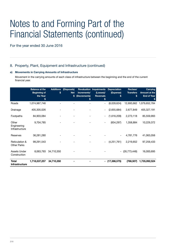For the year ended 30 June 2016

## 8. Property, Plant, Equipment and Infrastructure (continued)

### e) Movements in Carrying Amounts of Infrastructure

Movement in the carrying amounts of each class of infrastructure between the beginning and the end of the current financial year.

|                                                 | <b>Balance at the</b><br><b>Beginning of</b><br>the Year<br>\$ | <b>Additions</b><br>\$ | (Disposals)<br><b>Net</b><br>\$ | Increments/<br>(Decrements)<br>\$ | <b>Revaluation Impairments</b><br>(Losses)/<br><b>Reversals</b><br>\$ | <b>Depreciation</b><br>(Expense)<br>\$ | Reclass/<br><b>Transfers</b><br>\$ | Carrying<br>Amount at the<br><b>End of Year</b> |
|-------------------------------------------------|----------------------------------------------------------------|------------------------|---------------------------------|-----------------------------------|-----------------------------------------------------------------------|----------------------------------------|------------------------------------|-------------------------------------------------|
| Roads                                           | 1,074,987,746                                                  |                        |                                 |                                   | $\overline{\phantom{0}}$                                              | (8,028,624)                            | 12,693,662                         | 1,079,652,784                                   |
| Drainage                                        | 405,305,026                                                    |                        |                                 |                                   | -                                                                     | (2,655,684)                            | 2,677,849                          | 405,327,191                                     |
| Footpaths                                       | 84,903,084                                                     |                        |                                 |                                   | -                                                                     | (1,616,209)                            | 2,273,118                          | 85,559,993                                      |
| Other<br>Engineering<br>Infrastructure          | 9,704,785                                                      |                        |                                 |                                   | $\overline{\phantom{a}}$                                              | (834, 297)                             | 1,358,884                          | 10,229,372                                      |
| Reserves                                        | 36,281,280                                                     |                        |                                 |                                   |                                                                       | ۰                                      | 4,781,776                          | 41,063,056                                      |
| <b>Reticulation &amp;</b><br><b>Other Parks</b> | 99,291,543                                                     |                        |                                 |                                   | $\overline{\phantom{a}}$                                              | (4,251,761)                            | 2,219,652                          | 97,259,433                                      |
| <b>Assets Under</b><br>Construction             | 8,063,793                                                      | 34,710,350             |                                 |                                   |                                                                       | $\overline{\phantom{0}}$               | (26, 773, 448)                     | 16,000,695                                      |
| <b>Total</b><br><b>Infrastructure</b>           | 1,718,537,257                                                  | 34,710,350             |                                 |                                   | ۰                                                                     | (17, 386, 575)                         | (768, 507)                         | 1,735,092,524                                   |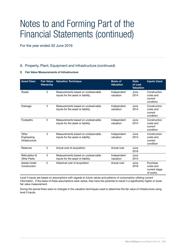For the year ended 30 June 2016

## 8. Property, Plant, Equipment and Infrastructure (continued)

### f) Fair Value Measurements of Infrastructure

| <b>Asset Class</b>                              | <b>Fair Value</b><br><b>Hierarchy</b> | <b>Valuation Technique</b>                                               | <b>Basis of</b><br><b>Valuation</b> | <b>Date</b><br>of Last<br><b>Valuation</b> | <b>Inputs Used</b>                                 |
|-------------------------------------------------|---------------------------------------|--------------------------------------------------------------------------|-------------------------------------|--------------------------------------------|----------------------------------------------------|
| Roads                                           | 3                                     | Measurements based on unobservable<br>inputs for the asset or liability. | Independent<br>valuation            | June<br>2014                               | Construction<br>costs and<br>current<br>condition  |
| 3<br>Drainage                                   |                                       | Measurements based on unobservable<br>inputs for the asset or liability. | Independent<br>valuation            | June<br>2014                               | Construction<br>costs and<br>current<br>condition  |
| Footpaths                                       | 3                                     | Measurements based on unobservable<br>inputs for the asset or liability. | Independent<br>valuation            | June<br>2014                               | Construction<br>costs and<br>current<br>condition  |
| Other<br>Engineering<br>Infrastructure          | 3                                     | Measurements based on unobservable<br>inputs for the asset or liability. | Independent<br>valuation            | June<br>2014                               | Construction<br>costs and<br>current<br>condition  |
| Reserves                                        | 3                                     | Actual cost of acquisition                                               | Actual cost                         | June<br>2016                               |                                                    |
| <b>Reticulation &amp;</b><br><b>Other Parks</b> | 3                                     | Measurements based on unobservable<br>inputs for the asset or liability. | Independent<br>valuation            | June<br>2015                               |                                                    |
| Assets Under<br>Construction                    | $\overline{2}$                        | Historical cost of acquisition                                           | Actual cost                         | June<br>2016                               | Purchase<br>costs and<br>current stage<br>of works |

Level 3 inputs are based on assumptions with regards to future values and patterns of consumption utilising current information. If the basis of these assumptions were varied, they have the potential to result in a significantly higher or lower fair value measurement.

During the period there were no changes in the valuation techniques used to determine the fair value of infrastructure using level 3 inputs.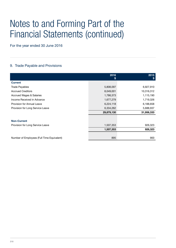<span id="page-39-0"></span>For the year ended 30 June 2016

## 9. Trade Payable and Provisions

|                                            | 2016       | 2015       |
|--------------------------------------------|------------|------------|
|                                            | \$         | \$         |
| <b>Current</b>                             |            |            |
| <b>Trade Payables</b>                      | 5,808,097  | 6,927,910  |
| <b>Accrued Creditors</b>                   | 8,049,001  | 10,316,312 |
| <b>Accrued Wages &amp; Salaries</b>        | 1,786,373  | 1,115,190  |
| Income Received in Advance                 | 1,677,279  | 1,719,326  |
| Provision for Annual Leave                 | 6,224,118  | 6,188,658  |
| Provision for Long Service Leave           | 6,334,262  | 5,688,937  |
|                                            | 29,879,130 | 31,956,333 |
|                                            |            |            |
| <b>Non-Current</b>                         |            |            |
| Provision for Long Service Leave           | 1,507,353  | 926,323    |
|                                            | 1,507,353  | 926,323    |
|                                            |            |            |
| Number of Employees (Full Time Equivalent) | 895        | 900        |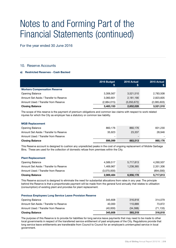<span id="page-40-0"></span>For the year ended 30 June 2016

### 10. Reserve Accounts

### a) Restricted Reserves - Cash Backed

|                                        | 2016 Budget<br>S | 2016 Actual<br>S | 2015 Actual<br>\$ |
|----------------------------------------|------------------|------------------|-------------------|
| <b>Workers Compensation Reserve</b>    |                  |                  |                   |
| Opening Balance                        | 3,306,567        | 3,521,510        | 2,783,508         |
| Amount Set Aside / Transfer to Reserve | 3.060.601        | 2,181,190        | 2,823,605         |
| Amount Used / Transfer from Reserve    | (2,884,015)      | (3,050,672)      | (2,085,603)       |
| <b>Closing Balance</b>                 | 3,483,153        | 2,652,028        | 3,521,510         |

The scope of this reserve is the payment of premium obligations and common law claims with respect to work related injuries for which the City as employer has a statutory or common law liability.

| Opening Balance                        | 860.176                  | 860.176 | 831,230 |
|----------------------------------------|--------------------------|---------|---------|
| Amount Set Aside / Transfer to Reserve | 35,923                   | 23.337  | 28.946  |
| Amount Used / Transfer from Reserve    | $\overline{\phantom{0}}$ | -       |         |
| <b>Closing Balance</b>                 | 896.099                  | 883,513 | 860,176 |

This Reserve account is designed to cushion any unpredicted peaks in the cost of ongoing replacement of Mobile Garbage Bins. These are used for the collection of domestic refuse from premises within the City.

| <b>Closing Balance</b>                 | 2,989,484   | 6,956,178 | 5,717,813 |
|----------------------------------------|-------------|-----------|-----------|
| Amount Used / Transfer from Reserve    | (3,070,000) |           | (894,000) |
| Amount Set Aside / Transfer to Reserve | 1.469.967   | 1,238,365 | 2,351,306 |
| <b>Opening Balance</b>                 | 4.589.517   | 5,717,813 | 4,260,507 |
| <b>Plant Replacement</b>               |             |           |           |

This Reserve account is designed to eliminate the need for substantial allocations from rates in any year. The principle behind the Reserve is that a proportionate payment will be made from the general fund annually that relates to utilisation (consumption) of existing plant and provides for plant replacement.

#### Previous Employees Long Service Leave Provision Reserve

| <b>Opening Balance</b>                 | 345.608  | 316,818   | 314.079  |
|----------------------------------------|----------|-----------|----------|
| Amount Set Aside / Transfer to Reserve | 40,000   | 110,889   | 73,872   |
| Amount Used / Transfer from Reserve    | (40,000) | (34, 388) | (71,133) |
| <b>Closing Balance</b>                 | 345,608  | 393.319   | 316,818  |

The purpose of this Reserve is to provide for liabilities for long service leave payments that may need to be made to other local governments in respect of the transferred service entitlement of past employees of the City. Regulations provide that long service leave entitlements are transferable from Council to Council for an employee's uninterrupted service in local government.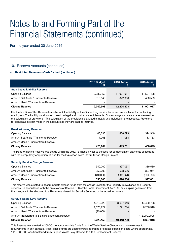For the year ended 30 June 2016

## 10. Reserve Accounts (continued)

### a) Restricted Reserves - Cash Backed (continued)

|                                        | 2016 Budget<br>S         | 2016 Actual<br>\$        | 2015 Actual<br>S. |
|----------------------------------------|--------------------------|--------------------------|-------------------|
| <b>Staff Leave Liability Reserve</b>   |                          |                          |                   |
| <b>Opening Balance</b>                 | 12,232,150               | 11,901,917               | 11,501,408        |
| Amount Set Aside / Transfer to Reserve | 510.848                  | 322,906                  | 400,509           |
| Amount Used / Transfer from Reserve    | $\overline{\phantom{0}}$ | $\overline{\phantom{0}}$ |                   |
| <b>Closing Balance</b>                 | 12,742,998               | 12,224,823               | 11,901,917        |

It is the function of this Reserve to cash-back the liability of the City for long service leave and annual leave for continuing employees. The liability is calculated based on legal and contractual entitlements. Current wage and salary rates are used in the calculation of provisions. The calculation of the provisions is audited annually and included in the accounts. Provisions for sick leave are not made in the accounts as they are paid as incurred.

### Road Widening Reserve

| 425.761 | <b>Closing Balance</b>                 |
|---------|----------------------------------------|
| -       | Amount Used / Transfer from Reserve    |
| 17.068  | Amount Set Aside / Transfer to Reserve |
| 408.693 | <b>Opening Balance</b>                 |
|         |                                        |

The Road Widening Reserve was set up within the 2012/13 financial year to be used for compensation payments associated with the compulsory acquisition of land for the Inglewood Town Centre Urban Design Project.

### Security Service Charge Reserve

| <b>Closing Balance</b>                 | 350,000   | 628,536   | 397.051   |
|----------------------------------------|-----------|-----------|-----------|
| Amount Used / Transfer from Reserve    | (340,000) | (397,051) | (339,580) |
| Amount Set Aside / Transfer to Reserve | 350,000   | 628,536   | 397.051   |
| <b>Opening Balance</b>                 | 340,000   | 397.051   | 339.580   |
|                                        |           |           |           |

This reserve was created to accommodate excess funds from the charge levied for the Property Surveillance and Security services. In accordance with the provisions of Section 6.38 of the Local Government Act 1995 any surplus generated from this charge is to be allocated to a Reserve and used for Security Services, or be repaid to owners.

#### Surplus Waste Levy Reserve

| <b>Closing Balance</b>                          | 5,223,150                | 10,418,730 | 8,697,016        |
|-------------------------------------------------|--------------------------|------------|------------------|
| Amount Transferred to 3 Bin Replacement Reserve | $\overline{\phantom{0}}$ |            | $(12,000,000)^*$ |
| Amount Used / Transfer from Reserve             | (75,000)                 |            |                  |
| Amount Set Aside / Transfer to Reserve          | 1,078,922                | 1,721,714  | 6,266,310        |
| <b>Opening Balance</b>                          | 4,219,228                | 8,697,016  | 14,430,706       |
|                                                 |                          |            |                  |

This Reserve was created in 2000/01 to accommodate funds from the Waste Service Charge which were excess to requirements in any particular year. These funds are used towards operating or capital expansion costs where appropriate. \* \$12,000,000 was transferred from Surplus Waste Levy Reserve to 3 Bin Replacement Reserve.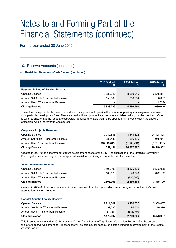For the year ended 30 June 2016

## 10. Reserve Accounts (continued)

### a) Restricted Reserves - Cash Backed (continued)

|                                           | 2016 Budget<br>S         | 2016 Actual<br>S         | 2015 Actual<br>\$ |
|-------------------------------------------|--------------------------|--------------------------|-------------------|
| <b>Payment in Lieu of Parking Reserve</b> |                          |                          |                   |
| Opening Balance                           | 3.680.047                | 3,680,046                | 3,555,361         |
| Amount Set Aside / Transfer to Reserve    | 153.689                  | 606.714                  | 136,307           |
| Amount Used / Transfer from Reserve       | $\overline{\phantom{0}}$ | $\overline{\phantom{0}}$ | (11, 622)         |
| <b>Closing Balance</b>                    | 3,833,736                | 4,286,760                | 3,680,046         |

These funds are provided by developers where it is impractical to provide the number of parking spaces generally required for a particular development/use. These are held until an opportunity arises where suitable parking may be provided. Care is taken to ensure that the funds are separately identified to enable them to be applied only to works within the specific areas from which the revenue was sourced.

#### Corporate Projects Reserve

| <b>Opening Balance</b>                 | 17.780.688     | 18.548.332  | 24.808.408  |
|----------------------------------------|----------------|-------------|-------------|
| Amount Set Aside / Transfer to Reserve | 889,482        | 17.656.126  | 955.041     |
| Amount Used / Transfer from Reserve    | (18, 118, 019) | (9,836,491) | (7,215,117) |
| <b>Closing Balance</b>                 | 552.151        | 26,367,967  | 18,548,332  |

Created in 2004/05 to accommodate future development needs of the City. The finalisation of the Strategic Community Plan, together with the long term works plan will assist in identifying appropriate uses for these funds.

## Asset Acquisition Reserve

| Amount Used / Transfer from Reserve<br><b>Closing Balance</b> | $\overline{\phantom{0}}$<br>2.698.363 | (785.000)<br>2.660.463 | $\overline{\phantom{0}}$<br>3.375.190 |
|---------------------------------------------------------------|---------------------------------------|------------------------|---------------------------------------|
|                                                               | 108.173                               | 70.273                 | 872.162                               |
| Amount Set Aside / Transfer to Reserve                        |                                       |                        |                                       |
| <b>Opening Balance</b>                                        | 2.590.190                             | 3.375.190              | 2.503.028                             |

Created in 2004/05 to accommodate anticipated revenues from land sales which are an integral part of the City's overall asset rationalisation program.

## Coastal Aquatic Facility Reserve Opening Balance 2,211,007 3,476,007 3,359,037 Amount Set Aside / Transfer to Reserve 192,338 94,306 94,306 116,970 Amount Used / Transfer from Reserve (831,338) (831,338) (831,107) Closing Balance 1,472,007 2,739,206 3,476,007

This Reserve was created in 2012/13 by transferring funds from the Trigg Beach Masterplan Reserve after the purpose of the latter Reserve was amended. These funds will be help pay for associated costs arising from development of the Coastal Aquatic Facility.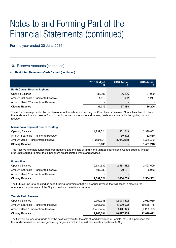For the year ended 30 June 2016

## 10. Reserve Accounts (continued)

### a) Restricted Reserves - Cash Backed (continued)

|                                        | 2016 Budget<br>S         | 2016 Actual<br>\$        | 2015 Actual |
|----------------------------------------|--------------------------|--------------------------|-------------|
| <b>Edith Cowan Reserve Lighting</b>    |                          |                          |             |
| Opening Balance                        | 36,207                   | 36,206                   | 34.989      |
| Amount Set Aside / Transfer to Reserve | 1.512                    | 982                      | 1,217       |
| Amount Used / Transfer from Reserve    | $\overline{\phantom{0}}$ | $\overline{\phantom{a}}$ |             |
| <b>Closing Balance</b>                 | 37,719                   | 37,188                   | 36,206      |

These funds were provided by the developer of the estate surrounding the Churchlands Reserve. Council resolved to place the funds in a financial reserve fund to pay for future maintenance and running costs associated with the lighting on this reserve.

### Mirrabooka Regional Centre Strategy

| Amount Set Aside / Transfer to Reserve | $\overline{\phantom{0}}$ | 39,372         | 82.560      |
|----------------------------------------|--------------------------|----------------|-------------|
| Amount Used / Transfer from Reserve    | (1.289.524)              | (1,490,585)    | (1,002,229) |
| <b>Closing Balance</b>                 | 10.000                   | $\blacksquare$ | 1.451.213   |

This Reserve is to hold funds from contributions and the sale of land in the Mirrabooka Regional Centre Strategy Project area until required to meet the expenditure on associated works and services.

| <b>Future Fund</b> |
|--------------------|
|--------------------|

| Opening Balance                        | 2.584.582                | 2,584,582 | 2,497,609 |
|----------------------------------------|--------------------------|-----------|-----------|
| Amount Set Aside / Transfer to Reserve | 107.939                  | 70.121    | 86.973    |
| Amount Used / Transfer from Reserve    | $\overline{\phantom{0}}$ |           |           |
| <b>Closing Balance</b>                 | 2.692.521                | 2,654,703 | 2,584,582 |

The Future Fund is to be used as seed funding for projects that will produce revenue that will assist in meeting the operational requirements of the City and reduce the reliance on rates.

### Tamala Park Reserve

| <b>Closing Balance</b>                 | 7.948.591   | 16,877,335 | 12.078.672  |
|----------------------------------------|-------------|------------|-------------|
| Amount Used / Transfer from Reserve    | (3,487,424) | (201, 339) | (1,418,532) |
| Amount Set Aside / Transfer to Reserve | 8.666.667   | 5,000,002  | 10.535.145  |
| <b>Opening Balance</b>                 | 2.769.348   | 12.078.672 | 2,962,059   |
|                                        |             |            |             |

The City will be receiving funds over the next few years for the sale of land developed at Tamala Park. It is proposed that the funds be used for income generating projects which in turn will help create a sustainable City.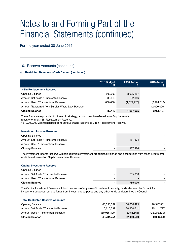For the year ended 30 June 2016

## 10. Reserve Accounts (continued)

### a) Restricted Reserves - Cash Backed (continued)

|                                                    | 2016 Budget<br>S. | 2016 Actual<br>\$        | 2015 Actual<br>'S. |
|----------------------------------------------------|-------------------|--------------------------|--------------------|
| <b>3 Bin Replacement Reserve</b>                   |                   |                          |                    |
| Opening Balance                                    | 800,000           | 3,035,187                |                    |
| Amount Set Aside / Transfer to Reserve             | 33,410            | 82.346                   |                    |
| Amount Used / Transfer from Reserve                | (800,000)         | (1,829,928)              | (8,964,813)        |
| Amount Transferred from Surplus Waste Levy Reserve | ٠                 | $\overline{\phantom{0}}$ | 12,000,000*        |
| <b>Closing Balance</b>                             | 33,410            | 1,287,605                | 3,035,187          |

These funds were provided for three bin strategy, amount was transferred from Surplus Waste reserve to fund 3 Bin Replacement Reserve.

\* \$12,000,000 was transferred from Surplus Waste Reserve to 3 Bin Replacement Reserve.

#### Investment Income Reserve

| <b>Opening Balance</b>                 | -                        |         |  |
|----------------------------------------|--------------------------|---------|--|
| Amount Set Aside / Transfer to Reserve | $\overline{\phantom{0}}$ | 157.374 |  |
| Amount Used / Transfer from Reserve    | $\overline{\phantom{0}}$ |         |  |
| <b>Closing Balance</b>                 | ٠                        | 157.374 |  |

The Investment Income Reserve will hold rent from investment properties,dividends and distributions from other investments and interest earned on Capital Investment Reserve

#### Capital Investment Reserve

| <b>Opening Balance</b>                 | - | -       |  |
|----------------------------------------|---|---------|--|
| Amount Set Aside / Transfer to Reserve | - | 785,000 |  |
| Amount Used / Transfer from Reserve    | - | -       |  |
| <b>Closing Balance</b>                 | ۰ | 785,000 |  |

The Capital Investment Reserve will hold proceeds of any sale of investment property, funds allocated by Council for investment purposes, surplus funds from investment purposes and any other funds as determined by Council

#### Total Restricted Reserve Accounts

| <b>Closing Balance</b>                 | 45,734,751   | 92,430,509     | 80,086,429   |
|----------------------------------------|--------------|----------------|--------------|
| Amount Used / Transfer from Reserve    | (30.935.320) | (18, 456, 561) | (22,002,629) |
| Amount Set Aside / Transfer to Reserve | 16.616.539   | 30,800,641     | 25,141,727   |
| <b>Opening Balance</b>                 | 60.053.532   | 80,086,429     | 76.947.331   |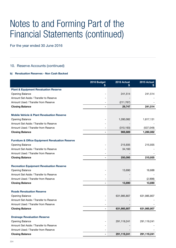For the year ended 30 June 2016

### 10. Reserve Accounts (continued)

### b) Revaluation Reserves - Non Cash Backed

|                                                             | 2016 Budget<br>\$ | 2016 Actual<br>S | 2015 Actual<br>S |
|-------------------------------------------------------------|-------------------|------------------|------------------|
| <b>Plant &amp; Equipment Revaluation Reserve</b>            |                   |                  |                  |
| Opening Balance                                             |                   | 241,514          | 241,514          |
| Amount Set Aside / Transfer to Reserve                      |                   |                  |                  |
| Amount Used / Transfer from Reserve                         |                   | (211, 767)       |                  |
| <b>Closing Balance</b>                                      |                   | 29,747           | 241,514          |
| <b>Mobile Vehicle &amp; Plant Revaluation Reserve</b>       |                   |                  |                  |
| <b>Opening Balance</b>                                      |                   | 1,280,082        | 1,817,131        |
| Amount Set Aside / Transfer to Reserve                      |                   |                  |                  |
| Amount Used / Transfer from Reserve                         |                   | (310, 193)       | (537, 049)       |
| <b>Closing Balance</b>                                      |                   | 969,889          | 1,280,082        |
| <b>Furniture &amp; Office Equipment Revaluation Reserve</b> |                   |                  |                  |
| <b>Opening Balance</b>                                      |                   | 215,935          | 215,935          |
| Amount Set Aside / Transfer to Reserve                      |                   | 34,160           |                  |
| Amount Used / Transfer from Reserve                         |                   |                  |                  |
| <b>Closing Balance</b>                                      |                   | 250,095          | 215,935          |
| <b>Recreation Equipment Revaluation Reserve</b>             |                   |                  |                  |
| <b>Opening Balance</b>                                      |                   | 13,690           | 16,688           |
| Amount Set Aside / Transfer to Reserve                      |                   |                  |                  |
| Amount Used / Transfer from Reserve                         |                   |                  | (2,998)          |
| <b>Closing Balance</b>                                      |                   | 13,690           | 13,690           |
| <b>Roads Revaluation Reserve</b>                            |                   |                  |                  |
| <b>Opening Balance</b>                                      |                   | 631,985,807      | 631,985,807      |
| Amount Set Aside / Transfer to Reserve                      |                   |                  |                  |
| Amount Used / Transfer from Reserve                         |                   |                  |                  |
| <b>Closing Balance</b>                                      |                   | 631,985,807      | 631,985,807      |
|                                                             |                   |                  |                  |
| <b>Drainage Revaluation Reserve</b>                         |                   |                  |                  |
| Opening Balance                                             |                   | 291,119,241      | 291,119,241      |
| Amount Set Aside / Transfer to Reserve                      |                   |                  |                  |
| Amount Used / Transfer from Reserve                         |                   |                  |                  |
| <b>Closing Balance</b>                                      |                   | 291,119,241      | 291,119,241      |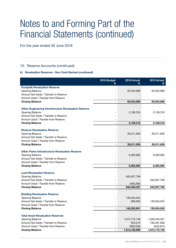For the year ended 30 June 2016

### 10. Reserve Accounts (continued)

### b) Revaluation Reserves - Non Cash Backed (continued)

|                                                                                       | 2016 Budget<br>S | 2016 Actual<br>\$ | 2015 Actual<br>S |
|---------------------------------------------------------------------------------------|------------------|-------------------|------------------|
| <b>Footpath Revaluation Reserve</b>                                                   |                  |                   |                  |
| <b>Opening Balance</b>                                                                |                  | 62,534,899        | 62,534,899       |
| Amount Set Aside / Transfer to Reserve                                                |                  |                   |                  |
| Amount Used / Transfer from Reserve                                                   |                  |                   |                  |
| <b>Closing Balance</b>                                                                |                  | 62,534,899        | 62,534,899       |
|                                                                                       |                  |                   |                  |
| <b>Other Engineering Infrastructure Revaluation Reserve</b><br><b>Opening Balance</b> |                  | 2,106,318         | 2,106,318        |
| Amount Set Aside / Transfer to Reserve                                                |                  |                   |                  |
| Amount Used / Transfer from Reserve                                                   |                  |                   |                  |
| <b>Closing Balance</b>                                                                |                  | 2,106,318         | 2,106,318        |
|                                                                                       |                  |                   |                  |
| <b>Reserve Revaluation Reserve</b>                                                    |                  |                   |                  |
| <b>Opening Balance</b>                                                                |                  | 30,011,839        | 30,011,839       |
| Amount Set Aside / Transfer to Reserve                                                |                  |                   |                  |
| Amount Used / Transfer from Reserve                                                   |                  |                   |                  |
| <b>Closing Balance</b>                                                                |                  | 30,011,839        | 30,011,839       |
|                                                                                       |                  |                   |                  |
| <b>Other Parks Infrastructure Revaluation Reserve</b>                                 |                  |                   |                  |
| <b>Opening Balance</b><br>Amount Set Aside / Transfer to Reserve                      |                  | 8,383,985         | 8,383,985        |
| Amount Used / Transfer from Reserve                                                   |                  |                   |                  |
| <b>Closing Balance</b>                                                                |                  | 8,383,985         | 8,383,985        |
|                                                                                       |                  |                   |                  |
| <b>Land Revaluation Reserve</b>                                                       |                  |                   |                  |
| <b>Opening Balance</b>                                                                |                  | 645,927,796       |                  |
| Amount Set Aside / Transfer to Reserve                                                |                  |                   | 645,927,796      |
| Amount Used / Transfer from Reserve                                                   |                  | (468, 299)        |                  |
| <b>Closing Balance</b>                                                                |                  | 645,459,497       | 645,927,796      |
|                                                                                       |                  |                   |                  |
| <b>Building Revaluation Reserve</b>                                                   |                  |                   |                  |
| Opening Balance                                                                       |                  | 139,354,042       |                  |
| Amount Set Aside / Transfer to Reserve<br>Amount Used / Transfer from Reserve         |                  | 909,859           | 139,354,042      |
| <b>Closing Balance</b>                                                                |                  | 140,263,901       | 139.354.042      |
|                                                                                       |                  |                   |                  |
| <b>Total Asset Revaluation Reserves</b>                                               |                  |                   |                  |
| Opening Balance                                                                       |                  | 1,813,175,148     | 1,028,433,357    |
| Amount Set Aside / Transfer to Reserve                                                |                  | 944,019           | 785,281,838      |
| Amount Used / Transfer from Reserve                                                   |                  | (990, 259)        | (540, 047)       |
| <b>Closing Balance</b>                                                                |                  | 1,813,128,908     | 1,813,175,148    |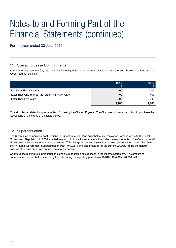<span id="page-47-0"></span>For the year ended 30 June 2016

## 11. Operating Lease Commitments

At the reporting date, the City had the following obligations under non-cancellable operating leases (these obligations are not recognised as liabilities):

|                                                   | 2016<br>S | 2015<br>$\mathbf{s}$ |
|---------------------------------------------------|-----------|----------------------|
| Not Later Than One Year                           | 100       | 100                  |
| Later Than One Year but Not Later Than Five Years | 400       | 400                  |
| Later Than Five Years                             | 2,200     | 2,300                |
|                                                   | 2,700     | 2,800                |

Operating lease relates to a parcel of land for use by the City for 50 years. The City does not have the option to purchase the leased land at the expiry of the lease period.

## 12. Superannuation

The City makes compulsory contributions to Superannuation Plans on behalf of its employees. Amendments to the Local Government Regulations in 2006 enabled freedom of choice for superannuation under the requirements of the Commonwealth Government rules for superannuation schemes. This change allows employees to choose superannuation plans other than the WA Local Government Superannuation Plan (WALGSP) and also provides for the current WALGSP to be the default scheme should an employee not choose another scheme.

Contributions relating to superannuation plans are recognised as expenses in the Income Statement. The amount of superannuation contributions made by the City during the reporting period was \$8,846,145 (2015: \$8,616,520)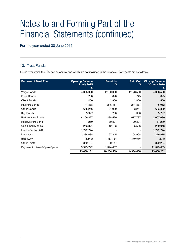<span id="page-48-0"></span>For the year ended 30 June 2016

## 13. Trust Funds

Funds over which the City has no control and which are not included in the Financial Statements are as follows:

| <b>Purpose of Trust Fund</b>  | <b>Opening Balance</b><br>1 July 2015<br>S | <b>Receipts</b><br>S | <b>Paid Out</b><br>\$ | <b>Closing Balance</b><br>30 June 2016<br>S |
|-------------------------------|--------------------------------------------|----------------------|-----------------------|---------------------------------------------|
| Verge Bonds                   | 4,095,000                                  | 2,120,000            | 2,178,500             | 4,036,500                                   |
| <b>Book Bonds</b>             | 250                                        | 820                  | 745                   | 325                                         |
| <b>Client Bonds</b>           | 400                                        | 2,900                | 2,800                 | 500                                         |
| Hall Hire Bonds               | 44,388                                     | 246,451              | 244,887               | 45,952                                      |
| Other Bonds                   | 665,256                                    | 21,900               | 3,257                 | 683,899                                     |
| Key Bonds                     | 9,927                                      | 250                  | 380                   | 9,797                                       |
| Performance Bonds             | 4,106,827                                  | 238,590              | 677,737               | 3,667,680                                   |
| Reserve Hire Bond             | 1,250                                      | 30,327               | 20,307                | 11,270                                      |
| <b>Unclaimed Monies</b>       | 253,371                                    | 12,183               | 5,506                 | 260,048                                     |
| Land - Section 20A            | 1,722,744                                  |                      |                       | 1,722,744                                   |
| Laneways                      | 1,284,038                                  | 97,845               | 164,908               | 1,216,975                                   |
| <b>BRB Levy</b>               | (4, 149)                                   | 1,383,134            | 1,379,516             | (531)                                       |
| <b>Other Trusts</b>           | 859,137                                    | 20,147               |                       | 879,284                                     |
| Payment in Lieu of Open Space | 9,999,742                                  | 1,324,067            |                       | 11,323,809                                  |
|                               | 23,038,181                                 | 10,204,559           | 9,384,488             | 23,858,252                                  |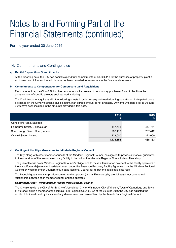<span id="page-49-0"></span>For the year ended 30 June 2016

### 14. Commitments and Contingencies

### a) Capital Expenditure Commitments

At the reporting date, the City had capital expenditure commitments of \$8,304,113 for the purchase of property, plant & equipment and infrastructure which have not been provided for elsewhere in the financial statements.

#### b) Commitments to Compensation for Compulsory Land Acquisitions

From time to time, the City of Stirling has reason to invoke powers of compulsory purchase of land to facilitate the advancement of specific projects such as road widening.

The City intends to acquire land in the following streets in order to carry out road widening operations. Anticipated costs are based on the City's valuations plus solatium, if an agreed amount is not available. Any amounts paid prior to 30 June 2016 have been included in the amounts provided in this note.

|                                 | 2016      | 2015      |
|---------------------------------|-----------|-----------|
|                                 | \$        | \$        |
| Grindleford Road, Balcatta      |           |           |
| Harbourne Street, Glendalough   | 447,741   | 447,741   |
| Scarborough Beach Road, Innaloo | 767,412   | 767,412   |
| Oswald Street, Innaloo          | 223,000   | 223,000   |
|                                 | 1,438,153 | 1,438,153 |

#### c) Contingent Liability - Guarantee for Mindarie Regional Council

The City, along with other member councils of the Mindarie Regional Council, has agreed to provide a financial guarantee to the operators of the resource recovery facility to be built at the Mindarie Regional Council site at Neerabup.

The guarantee will cover Mindarie Regional Council's obligations to make a termination payment to the facility operators if there is a Force Majeure event, a default event under the Resource Recovery Facility Agreement by the Mindarie Regional Council or where member Councils of Mindarie Regional Council fail to pay the applicable gate fees.

The financial guarantee is to provide comfort to the operator (and its Financiers) by providing a direct contractual relationship between each member council and the operator.

#### *Contingent Asset - Investment in Tamala Park Regional Council*

The City along with the City of Perth, City of Joondalup, City of Wanneroo, City of Vincent, Town of Cambridge and Town of Victoria Park is a member of the Tamala Park Regional Council. As at the 30 June 2016 the City has adjusted the equity of its investment by its share of any development and sale of land by the Tamala Park Regional Council.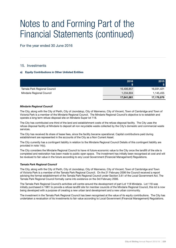<span id="page-50-0"></span>For the year ended 30 June 2016

### 15. Investments

### a) Equity Contributions in Other Unlisted Entities

|                              | 2016<br>S  | 2015<br>S  |
|------------------------------|------------|------------|
| Tamala Park Regional Council | 16,406,857 | 16,031,421 |
| Mindarie Regional Council    | 1,234,804  | 1,145,455  |
|                              | 17,641,661 | 17,176,876 |

#### *Mindarie Regional Council*

The City, along with the City of Perth, City of Joondalup, City of Wanneroo, City of Vincent, Town of Cambridge and Town of Victoria Park is a member of the Mindarie Regional Council. The Mindarie Regional Council's objective is to establish and operate a long term refuse disposal site on Mindarie Super lot 118.

The City has contributed one third of the land and establishment costs of the refuse disposal facility. The City uses the refuse disposal facility at Mindarie to deposit all non recyclable waste collected by the City's domestic and commercial waste services.

The City has received its share of lease fees, since the facility became operational. Capital contributions paid during establishment are represented in the accounts of the City as a Non Current Asset.

The City currently has a contingent liability in relation to the Mindarie Regional Council Details of this contingent liability are provided in note 14(c).

The City considers the Mindarie Regional Council to have nil future economic value to the City once the landfill of the site is completed and restoration has been made to public open space. The investment has initially been recognised at cost and will be revalued to fair value in the future according to any Local Government (Financial Management) Regulations.

### *Tamala Park Regional Council*

The City, along with the City of Perth, City of Joondalup, City of Wanneroo, City of Vincent, Town of Cambridge and Town of Victoria Park is a member of the Tamala Park Regional Council. On the 21 February 2006 the Council received a report advising the formal establishment of the Tamala Park Regional Council under Section 3.61 of the Local Government Act. The Tamala Park Regional Council formally came into existence on the 3rd February 2006.

The Tamala Park Regional Council's activities will centre around the development of part Lot 118 Mindarie. Lot 118 was initially purchased in 1981 to provide a refuse landfill site for member councils of the Mindarie Regional Council, this lot is now being developed with a purpose of creating a new urban land development and a new urban community.

The investment in the Tamala Park Regional Council has been recognised at the value of its equity contributions. The City has undertaken a revaluation of its investments to fair value according to Local Government (Financial Management) Regulations.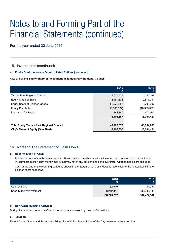<span id="page-51-0"></span>For the year ended 30 June 2016

### 15. Investments (continued)

### a) Equity Contributions in Other Unlisted Entities (continued)

#### City of Stirling Equity Share of Investment In Tamala Park Regional Council

|                                                  | 2016<br>S   | 2015<br>\$     |
|--------------------------------------------------|-------------|----------------|
| Tamala Park Regional Council                     | 16,031,421  | 14, 142, 193   |
| Equity Share of Sales                            | 8,461,634   | 10,877,241     |
| Equity Share of Finished Goods                   | (3,950,536) | 2,702,607      |
| <b>Equity Distribution</b>                       | (5,000,002) | (10, 333, 332) |
| Land Held for Resale                             | 864.340     | (1, 357, 288)  |
|                                                  | 16,406,857  | 16,031,421     |
|                                                  |             |                |
| <b>Total Equity Tamala Park Regional Council</b> | 49,220,570  | 48,094,263     |
| City's Share of Equity (One Third)               | 16,406,857  | 16,031,421     |

## 16. Notes to The Statement of Cash Flows

#### a) Reconciliation of Cash

For the purpose of the Statement of Cash Flows, cash and cash equivalents includes cash on hand, cash at bank and investments in short term money market activity, net of any outstanding bank overdraft. All trust monies are excluded.

Cash at the end of the reporting period as shown in the Statement of Cash Flows is reconciled to the related items in the balance sheet as follows:

|                           | 2016<br>S   | 2015<br>\$  |
|---------------------------|-------------|-------------|
| Cash at Bank              | 32,910      | 41,354      |
| Short Maturity Investment | 138,212,347 | 132,383,183 |
|                           | 138,245,257 | 132,424,537 |

### b) Non-Cash Investing Activities

During the reporting period the City did not acquire any assets by means of donations.

### c) Taxation

Except for the Goods and Service and Fringe Benefits Tax, the activities of the City are exempt from taxation.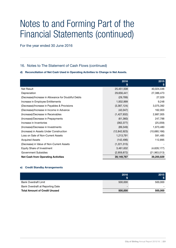For the year ended 30 June 2016

## 16. Notes to The Statement of Cash Flows (continued)

### d) Reconciliation of Net Cash Used in Operating Activities to Change in Net Assets.

|                                                     | 2016<br>S      | 2015<br>\$   |
|-----------------------------------------------------|----------------|--------------|
| <b>Net Result</b>                                   | 25,451,508     | 40,024,446   |
| Depreciation                                        | 29,656,441     | 27,386,473   |
| (Decrease)/Increase in Allowance for Doubtful Debts | (29, 789)      | 27,029       |
| Increase in Employee Entitlements                   | 1,932,999      | 9,248        |
| (Decrease)/Increase in Payables & Provisions        | (3,387,124)    | 3,075,392    |
| (Decrease)/Increase in Income in Advance            | (42, 047)      | 162,003      |
| (Increase)/Decrease in Receivables                  | (1,427,932)    | 2,887,005    |
| (Increase)/Decrease in Prepayments                  | (61, 360)      | 247,788      |
| Increase in Inventories                             | (362, 377)     | (25,059)     |
| (Increase)/Decrease in Investments                  | (89, 349)      | 1,973,480    |
| (Increase) in Assets Under Construction             | (12, 842, 923) | (10,680,166) |
| Loss on Sale of Non-Current Assets                  | 1,213,791      | 591,485      |
| <b>Acquired Assets</b>                              | (142, 496)     | 112,895      |
| (Decrease) in Value of Non-Current Assets           | (1,221,315)    |              |
| Equity Share of Investment                          | 3,461,632      | (4,628,177)  |
| Government Subsidies                                | (2,959,872)    | (21,963,013) |
| <b>Net Cash from Operating Activities</b>           | 39,149,787     | 39,200,829   |

### e) Credit Standby Arrangements

|                                      | 2016<br>S | 2015<br>S |
|--------------------------------------|-----------|-----------|
| Bank Overdraft Limit                 | 500,000   | 500,000   |
| Bank Overdraft at Reporting Date     | -         |           |
| <b>Total Amount of Credit Unused</b> | 500,000   | 500,000   |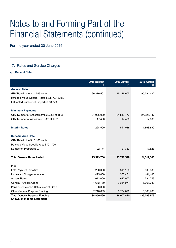<span id="page-53-0"></span>For the year ended 30 June 2016

## 17. Rates and Service Charges

a) General Rate

|                                                                          | 2016 Budget<br>S | 2016 Actual<br>S | 2015 Actual<br>S |
|--------------------------------------------------------------------------|------------------|------------------|------------------|
| <b>General Rate</b>                                                      |                  |                  |                  |
| GRV Rate in the \$: 4.563 cents                                          | 99,379,562       | 99,329,905       | 95,394,422       |
| Rateable Value General Rates \$2,177,943,480                             |                  |                  |                  |
| Estimated Number of Properties 63,049                                    |                  |                  |                  |
| <b>Minimum Payments</b>                                                  |                  |                  |                  |
| GRV Number of Assessments 30,964 at \$805                                | 24,926,020       | 24,842,773       | 24,221,187       |
| GRV Number of Assessments 23 at \$760                                    | 17,480           | 17,480           | 17,066           |
| <b>Interim Rates</b>                                                     | 1,228,500        | 1,511,038        | 1,868,890        |
| <b>Specific Area Rate</b>                                                |                  |                  |                  |
| GRV Rate in the \$: 3.160 cents                                          |                  |                  |                  |
| Rateable Value Specific Area \$701,700                                   |                  |                  |                  |
| Number of Properties 23                                                  | 22,174           | 21,333           | 17,823           |
| <b>Total General Rates Levied</b>                                        | 125,573,736      | 125,722,529      | 121,519,388      |
| Plus                                                                     |                  |                  |                  |
| Late Payment Penalties                                                   | 280,000          | 318,166          | 308,888          |
| Instalment Charges & Interest                                            | 475,000          | 350,451          | 481,443          |
| <b>Arrears Rates</b>                                                     | 613,000          | 627,007          | 594,749          |
| General Purpose Grant                                                    | 4,642,130        | 2,254,971        | 6,961,739        |
| Pensioner Deferred Rates Interest Grant                                  | 50,000           |                  |                  |
| Other General Purpose Funding                                            | 7,216,603        | 6,734,696        | 6,163,766        |
| <b>Total General Purpose Funding</b><br><b>Shown on Income Statement</b> | 138,850,469      | 136,007,820      | 136,029,973      |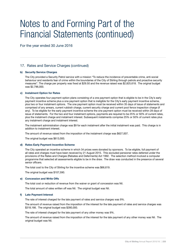For the year ended 30 June 2016

### 17. Rates and Service Charges (continued)

#### b) Security Service Charges

The City provided a Security Patrol service with a mission "To reduce the incidence of preventable crime, anti-social behaviour and residents fear of crime within the boundaries of the City of Stirling through patrols and proactive security measures". The charge per property was fixed at \$29.50 and the revenue raised was \$2,825,618. The original budget was \$2,796,000.

#### c) Instalment Option for Rates

The City operates four payment option plans consisting of a one payment option that is eligible to be in the City's early payment incentive scheme plus a one payment option that is ineligible for the City's early payment incentive scheme, plus two or four instalment options. The one payment option must be received within 35 days of issue of statements and comprised of any arrears, current rubbish charge, current security charge and current pool fence inspection charge (if any). To be eligible for the early payment incentive scheme the one payment option must be received within 28 days of issue of statements. For the two and four instalment options, payments are required to be 25% or 50% of current rates, plus the instalment charge and instalment interest. Subsequent instalments comprise 25% or 50% of current rates plus any instalment charge and instalment interest.

The instalment administration charge was \$9 for each instalment after the initial instalment was paid. This charge is in addition to instalment interest.

The amount of revenue raised from the imposition of the instalment charge was \$627,007.

The original budget was \$613,000.

#### d) Rates Early Payment Incentive Scheme

The City operated an incentive scheme in which 34 prizes were donated by sponsors. To be eligible, full payment of all rates and charges must have been received by 21 August 2015. This excluded pensioner rates deferred under the provisions of the Rates and Charges (Rebates and Deferments) Act 1992. The selection method involved a computer programme that selected all assessments eligible to be in the draw. The draw was conducted in the presence of several senior officers.

The total cost to the City of Stirling for the incentive scheme was \$66,619.

The original budget was \$107,590.

#### e) Concession and Write Offs

The total cost or reduction of revenue from the waiver or grant of concession was Nil.

The total amount of rates written off was Nil. The original budget was Nil.

#### f) Late Payment Interest

The rate of interest charged for the late payment of rates and service charges was 9%.

The amount of revenue raised from the imposition of the interest for the late payment of rates and service charges was \$318,166. The original budget was \$280,000.

The rate of interest charged for the late payment of any other money was 9%.

The amount of revenue raised from the imposition of the interest for the late payment of any other money was Nil. The original budget was Nil.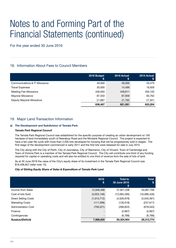<span id="page-55-0"></span>For the year ended 30 June 2016

## 18. Information About Fees to Council Members

|                               | 2016 Budget<br>\$ | 2016 Actual<br>\$ | 2015 Actual<br>S. |
|-------------------------------|-------------------|-------------------|-------------------|
| Communications & IT Allowance | 49,000            | 49,000            | 50,470            |
| <b>Travel Expenses</b>        | 30,000            | 14,499            | 16,926            |
| Meeting Fee Allowance         | 448.050           | 448,611           | 450,105           |
| Mayoral Allowance             | 87,550            | 87,659            | 83,762            |
| Deputy Mayoral Allowance      | 21,887            | 21.792            | 21,941            |
|                               | 636,487           | 621,561           | 623,204           |

## 19. Major Land Transaction Information

### a) The Development and Subdivision of Tamala Park

### *Tamala Park Regional Council*

The Tamala Park Regional Council was established for the specific purpose of creating an urban development on 165 hectares of land immediately south of Neerabup Road and the Mindarie Regional Council. The project is expected to have a ten-year life cycle with more than 2,500 lots developed for housing that will be progressively sold in stages. The first stage of the development commenced in early 2011 and the first lots were released for sale in July 2012.

The City along with the City of Perth, City of Joondalup, City of Wanneroo, City of Vincent, Town of Cambridge and Town of Victoria Park is a member of the Tamala Park Regional Council. The City will contribute one third of any funding required for capital or operating costs and will also be entitled to one third of revenue from the sale of lots of land.

As at 30 June 2016 the value of the City's equity share of its investment in the Tamala Park Regional Council was \$16,406,857 (refer note 15).

### *City of Stirling Equity Share of Sales & Expenditure of Tamala Park Land*

|                             | 2016<br>\$  | <b>Total to</b><br>30 June 2015<br>\$ | <b>Total</b><br>\$ |
|-----------------------------|-------------|---------------------------------------|--------------------|
| Income from Sales           | 12,846,498  | 37,821,208                            | 50,667,706         |
| Cost of lots Sold           | (3,023,146) | (13,065,280)                          | (16,088,426)       |
| <b>Direct Selling Costs</b> | (1,013,712) | (4,026,679)                           | (5,040,391)        |
| <b>Marketing Costs</b>      | (111, 599)  | (126, 018)                            | (237, 617)         |
| <b>Administration Cost</b>  | (709, 221)  | (268, 822)                            | (978, 043)         |
| Finance                     |             | (2,667)                               | (2,667)            |
| Contingencies               |             | (6,788)                               | (6,788)            |
| Surplus/(Deficit)           | 7,988,820   | 20,324,954                            | 28,313,774         |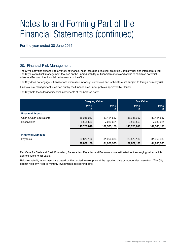<span id="page-56-0"></span>For the year ended 30 June 2016

### 20. Financial Risk Management

The City's activities expose it to a variety of financial risks including price risk, credit risk, liquidity risk and interest rate risk. The City's overall risk management focuses on the unpredictability of financial markets and seeks to minimise potential adverse effects on the financial performance of the City.

The City does not engage in transactions expressed in foreign currencies and is therefore not subject to foreign currency risk.

Financial risk management is carried out by the Finance area under policies approved by Council.

The City held the following financial instruments at the balance date:

|                              | <b>Carrying Value</b> |             | <b>Fair Value</b> |             |
|------------------------------|-----------------------|-------------|-------------------|-------------|
|                              | 2016<br>\$            | 2015<br>\$  | 2016<br>\$        | 2015<br>\$  |
| <b>Financial Assets</b>      |                       |             |                   |             |
| Cash & Cash Equivalents      | 138,245,257           | 132,424,537 | 138,245,257       | 132,424,537 |
| Receivables                  | 8,508,553             | 7,080,621   | 8,508,553         | 7,080,621   |
|                              | 146,753,810           | 139,505,158 | 146,753,810       | 139,505,158 |
| <b>Financial Liabilities</b> |                       |             |                   |             |
| Payables                     | 29,879,130            | 31,956,333  | 29,879,130        | 31,956,333  |
|                              | 29,879,130            | 31,956,333  | 29,879,130        | 31,956,333  |

Fair Value for Cash and Cash Equivalent, Receivables, Payables and Borrowings are estimated as the carrying value, which approximates to fair value.

Held-to-maturity investments are based on the quoted market price at the reporting date or independent valuation. The City did not hold any Held-to maturity investments at reporting date.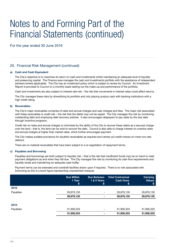For the year ended 30 June 2016

### 20. Financial Risk Management (continued)

### a) Cash and Cash Equivalent

The City's objective is to maximise its return on cash and investments whilst maintaining an adequate level of liquidity and preserving capital. The Finance area manages the cash and investments portfolio with the assistance of independent advisers (where applicable). The City has an investment policy which is subject to review by Council. An Investment Report is provided to Council on a monthly basis setting out the make-up and performance of the portfolio.

Cash and investments are also subject to interest rate risk – the risk that movements in interest rates could affect returns.

The City manages these risks by diversifying its portfolio and only placing surplus cash with banking institutions with a high credit rating.

#### b) Receivables

The City's major receivables comprise of rates and annual charges and user charges and fees. The major risk associated with these receivables is credit risk – the risk that the debts may not be repaid. The City manages this risk by monitoring outstanding debt and employing debt recovery policies. It also encourages ratepayers to pay rates by the due date through incentive programs.

Credit risk on rates and annual charges is minimised by the ability of the City to recover these debts as a secured charge over the land – that is, the land can be sold to recover the debt. Council is also able to charge interest on overdue rates and annual charges at higher than market rates, which further encourages payment.

The City makes suitable provisions for doubtful receivables as required and carries out credit checks on most non-rate debtors.

There are no material receivables that have been subject to a re-negotiation of repayment terms.

#### c) Payables and Borrowing

Payables and borrowings are both subject to liquidity risk – that is the risk that insufficient funds may be on hand to meet payment obligations as and when they fall due. The City manages this risk by monitoring its cash flow requirements and liquidity levels and maintaining an adequate cash buffer.

Payment terms can be extended and overdraft facilities drawn upon if required. There is no risk associated with borrowing as this is a book figure representing unpresented cheques.

|          | Due Within<br>1 Year<br>\$ | <b>Due Between</b><br>1 & 5 Years<br>\$ | <b>Total Contractual</b><br><b>Cash flows</b><br>\$ | Carrying<br><b>Values</b><br>S |
|----------|----------------------------|-----------------------------------------|-----------------------------------------------------|--------------------------------|
| 2016     |                            |                                         |                                                     |                                |
| Payables | 29,879,130                 | -                                       | 29,879,130                                          | 29,879,130                     |
|          | 29,879,130                 |                                         | 29,879,130                                          | 29,879,130                     |
| 2015     |                            |                                         |                                                     |                                |
| Payables | 31,956,333                 |                                         | 31,956,333                                          | 31,956,333                     |
|          | 31,956,333                 | $\blacksquare$                          | 31,956,333                                          | 31,956,333                     |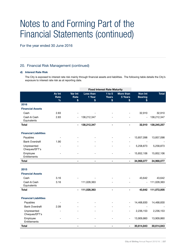For the year ended 30 June 2016

### 20. Financial Risk Management (continued)

### d) Interest Rate Risk

The City is exposed to interest rate risk mainly through financial assets and liabilities. The following table details the City's exposure to interest rate risk as at reporting date.

|                              | <b>Fixed Interest Rate Maturity</b> |                                      |                                                 |                                                 |                                   |                                        |              |
|------------------------------|-------------------------------------|--------------------------------------|-------------------------------------------------|-------------------------------------------------|-----------------------------------|----------------------------------------|--------------|
|                              | Av Int<br>Rate<br>$\frac{9}{6}$     | Var Int<br>Rate<br>$\boldsymbol{\$}$ | <b>Less than</b><br>1 Year<br>$\boldsymbol{\$}$ | $1$ to $5$<br><b>Years</b><br>$\boldsymbol{\$}$ | <b>More than</b><br>5 Years<br>\$ | <b>Non Int</b><br><b>Bearing</b><br>\$ | <b>Total</b> |
| 2016                         |                                     |                                      |                                                 |                                                 |                                   |                                        |              |
| <b>Financial Assets</b>      |                                     |                                      |                                                 |                                                 |                                   |                                        |              |
| Cash                         | 2.83                                |                                      |                                                 |                                                 |                                   | 32,910                                 | 32,910       |
| Cash & Cash<br>Equivalents   | 2.83                                |                                      | 138,212,347                                     |                                                 |                                   | $\frac{1}{2}$                          | 138,212,347  |
| <b>Total</b>                 |                                     | $\blacksquare$                       | 138,212,347                                     | ä,                                              | ä,                                | 32,910                                 | 138,245,257  |
| <b>Financial Liabilities</b> |                                     |                                      |                                                 |                                                 |                                   |                                        |              |
| Payables                     |                                     |                                      |                                                 | L,                                              | $\overline{\phantom{0}}$          | 13,857,098                             | 13,857,098   |
| <b>Bank Overdraft</b>        | 1.90                                |                                      |                                                 |                                                 | $\overline{a}$                    |                                        |              |
| Unpresented<br>Cheques/EFT's |                                     |                                      |                                                 |                                                 | $\overline{\phantom{a}}$          | 5,258,873                              | 5,258,873    |
| Employee<br>Entitlements     |                                     |                                      |                                                 |                                                 | $\overline{a}$                    | 15,852,106                             | 15,852,106   |
| Total                        |                                     | $\blacksquare$                       | $\blacksquare$                                  | $\blacksquare$                                  | ÷,                                | 34,968,077                             | 34,968,077   |
|                              |                                     |                                      |                                                 |                                                 |                                   |                                        |              |
| 2015                         |                                     |                                      |                                                 |                                                 |                                   |                                        |              |
| <b>Financial Assets</b>      |                                     |                                      |                                                 |                                                 |                                   |                                        |              |
| Cash                         | 3.16                                |                                      |                                                 |                                                 |                                   | 43,642                                 | 43,642       |
| Cash & Cash<br>Equivalents   | 3.16                                |                                      | 111,028,363                                     |                                                 |                                   | $\overline{\phantom{a}}$               | 111,028,363  |
| <b>Total</b>                 |                                     | $\blacksquare$                       | 111,028,363                                     | ÷,                                              | $\blacksquare$                    | 43,642                                 | 111,072,005  |
| <b>Financial Liabilities</b> |                                     |                                      |                                                 |                                                 |                                   |                                        |              |
| Payables                     |                                     |                                      |                                                 |                                                 |                                   | 14,468,830                             | 14,468,830   |
| <b>Bank Overdraft</b>        | 2.09                                |                                      |                                                 |                                                 |                                   |                                        |              |
| Unpresented<br>Cheques/EFT's |                                     |                                      |                                                 |                                                 | $\overline{\phantom{0}}$          | 2,236,153                              | 2,236,153    |
| Employee<br>Entitlements     |                                     |                                      |                                                 |                                                 | $\overline{\phantom{0}}$          | 13,909,860                             | 13,909,860   |
| <b>Total</b>                 |                                     |                                      | $\blacksquare$                                  | ä,                                              | ä,                                | 30,614,843                             | 30,614,843   |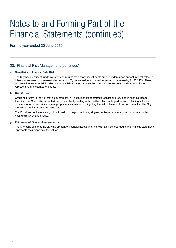For the year ended 30 June 2016

### 20. Financial Risk Management (continued)

### e) Sensitivity to Interest Rate Risk

The City has significant funds invested and returns from those investments are dependent upon current interest rates. If interest rates were to increase or decrease by 1%, the annual return would increase or decrease by \$1,382,453. There is no real interest rate risk in relation to financial liabilities because the overdraft disclosure is purely a book figure representing unpresented cheques.

### f) Credit Risk

Credit risk refers to the risk that a counterparty will default on its contractual obligations resulting in financial loss to the City. The Council has adopted the policy of only dealing with creditworthy counterparties and obtaining sufficient collateral or other security where appropriate, as a means of mitigating the risk of financial loss from defaults. The City measures credit risk on a fair value basis.

The City does not have any significant credit risk exposure to any single counterparty or any group of counterparties having similar characteristics.

### g) Fair Value of Financial Instruments

The City considers that the carrying amount of financial assets and financial liabilities recorded in the financial statements represents their respective fair values.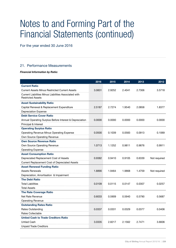<span id="page-60-0"></span>For the year ended 30 June 2016

## 21. Performance Measurements

#### *Financial Information by Ratio:*

|                                                                                   | 2016   | 2015   | 2014   | 2013   | 2012         |
|-----------------------------------------------------------------------------------|--------|--------|--------|--------|--------------|
| <b>Current Ratio</b>                                                              |        |        |        |        |              |
| <b>Current Assets Minus Restricted Current Assets</b>                             | 3.0831 | 2.9252 | 2.4041 | 2.7306 | 3.5718       |
| Current Liabilities Minus Liabilities Associated with<br><b>Restricted Assets</b> |        |        |        |        |              |
| <b>Asset Sustainability Ratio</b>                                                 |        |        |        |        |              |
| Capital Renewal & Replacement Expenditure                                         | 2.5187 | 2.7274 | 1.9540 | 2.0858 | 1.8377       |
| <b>Depreciation Expense</b>                                                       |        |        |        |        |              |
| <b>Debt Service Cover Ratio</b>                                                   |        |        |        |        |              |
| Annual Operating Surplus Before Interest & Depreciation                           | 0.0000 | 0.0000 | 0.0000 | 0.0000 | 0.0000       |
| Principal & Interest                                                              |        |        |        |        |              |
| <b>Operating Surplus Ratio</b>                                                    |        |        |        |        |              |
| <b>Operating Revenue Minus Operating Expense</b>                                  | 0.0500 | 0.1039 | 0.0583 | 0.0913 | 0.1069       |
| Own Source Operating Revenue                                                      |        |        |        |        |              |
| <b>Own Source Revenue Ratio</b>                                                   |        |        |        |        |              |
| Own Source Operating Revenue                                                      | 1.0713 | 1.1252 | 0.9811 | 0.9876 | 0.9911       |
| <b>Operating Expense</b>                                                          |        |        |        |        |              |
| <b>Asset Consumption Ratio</b>                                                    |        |        |        |        |              |
| Depreciated Replacement Cost of Assets                                            | 0.9382 | 0.9410 | 0.9105 | 0.6339 | Not required |
| Current Replacement Cost of Depreciated Assets                                    |        |        |        |        |              |
| <b>Asset Renewal Funding Ratio</b>                                                |        |        |        |        |              |
| <b>Assets Renewals</b>                                                            | 1.8890 | 1.9464 | 1.9868 | 1.4759 | Not required |
| Depreciation, Amortisation & Impairment                                           |        |        |        |        |              |
| <b>The Debt Ratio</b>                                                             |        |        |        |        |              |
| <b>Total Liabilities</b>                                                          | 0.0109 | 0.0115 | 0.0147 | 0.0307 | 0.0257       |
| <b>Total Assets</b>                                                               |        |        |        |        |              |
| <b>The Rate Coverage Ratio</b>                                                    |        |        |        |        |              |
| Net Rate Revenue                                                                  | 0.6033 | 0.5909 | 0.5940 | 0.5790 | 0.5687       |
| <b>Operating Revenue</b>                                                          |        |        |        |        |              |
| <b>Outstanding Rates Ratio</b>                                                    |        |        |        |        |              |
| Rates Outstanding                                                                 | 0.0337 | 0.0331 | 0.0329 | 0.0377 | 0.0406       |
| Rates Collectable                                                                 |        |        |        |        |              |
| <b>Untied Cash to Trade Creditors Ratio</b>                                       |        |        |        |        |              |
| <b>Untied Cash</b>                                                                | 3.0335 | 2.8217 | 2.1562 | 2.7471 | 3.6606       |
| <b>Unpaid Trade Creditors</b>                                                     |        |        |        |        |              |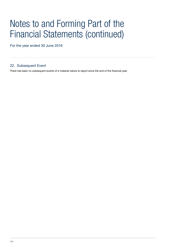<span id="page-61-0"></span>For the year ended 30 June 2016

## 22. Subsequent Event

There has been no subsequent events of a material nature to report since the end of the financial year.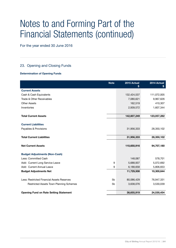<span id="page-62-0"></span>For the year ended 30 June 2016

## 23. Opening and Closing Funds

### Determination of Opening Funds

|                                               | <b>Note</b>    | 2015 Actual<br>\$ | 2014 Actual<br>\$ |
|-----------------------------------------------|----------------|-------------------|-------------------|
| <b>Current Assets</b>                         |                |                   |                   |
| Cash & Cash Equivalents                       |                | 132,424,537       | 111,072,005       |
| Trade & Other Receivables                     |                | 7,080,621         | 9,967,626         |
| <b>Other Assets</b>                           |                | 162,519           | 410,307           |
| Inventories                                   |                | 2,939,572         | 1,607,344         |
| <b>Total Current Assets</b>                   |                | 142,607,249       | 123,057,282       |
| <b>Current Liabilities</b>                    |                |                   |                   |
| Payables & Provisions                         |                | 31,956,333        | 28,350,102        |
| <b>Total Current Liabilities</b>              |                | 31,956,333        | 28,350,102        |
| <b>Net Current Assets</b>                     |                | 110,650,916       | 94,707,180        |
| <b>Budget Adjustments (Non-Cash)</b>          |                |                   |                   |
| Less: Committed Cash                          |                | 148,087           | 578,701           |
| Add: Current Long Service Leave               | 9              | 5,688,937         | 5,072,692         |
| Add: Current Annual Leave                     | 9              | 6,188,658         | 5,806,653         |
| <b>Budget Adjustments Net</b>                 |                | 11,729,508        | 10,300,644        |
| Less: Restricted Financial Assets Reserves    | 5 <sub>b</sub> | 80,086,429        | 76,947,331        |
| Restricted Assets Town Planning Schemes       | 5 <sub>b</sub> | 3,638,076         | 3,530,039         |
| <b>Opening Fund on Rate Setting Statement</b> |                | 38,655,919        | 24,530,454        |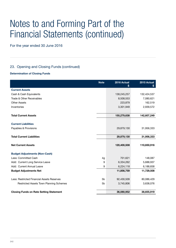For the year ended 30 June 2016

## 23. Opening and Closing Funds (continued)

### Determination of Closing Funds

|                                                | <b>Note</b>    | 2016 Actual<br>\$ | 2015 Actual<br>\$ |
|------------------------------------------------|----------------|-------------------|-------------------|
| <b>Current Assets</b>                          |                |                   |                   |
| Cash & Cash Equivalents                        |                | 138,245,257       | 132,424,537       |
| Trade & Other Receivables                      |                | 8,508,553         | 7,080,621         |
| <b>Other Assets</b>                            |                | 223,879           | 162,519           |
| Inventories                                    |                | 3,301,949         | 2,939,572         |
| <b>Total Current Assets</b>                    |                | 150,279,638       | 142,607,249       |
| <b>Current Liabilities</b>                     |                |                   |                   |
| Payables & Provisions                          |                | 29,879,130        | 31,956,333        |
| <b>Total Current Liabilities</b>               |                | 29,879,130        | 31,956,333        |
| <b>Net Current Assets</b>                      |                | 120,400,508       | 110,650,916       |
| <b>Budget Adjustments (Non-Cash)</b>           |                |                   |                   |
| Less: Committed Cash                           | 4g             | 701,621           | 148,087           |
| Add: Current Long Service Leave                | 9              | 6,334,262         | 5,688,937         |
| Add: Current Annual Leave                      | 9              | 6,224,118         | 6,188,658         |
| <b>Budget Adjustments Net</b>                  |                | 11,856,759        | 11,729,508        |
| Less: Restricted Financial Assets Reserves     | 5 <sub>b</sub> | 92,430,509        | 80,086,429        |
| Restricted Assets Town Planning Schemes        | 5 <sub>b</sub> | 3,745,806         | 3,638,076         |
| <b>Closing Funds on Rate Setting Statement</b> |                | 36,080,952        | 38,655,919        |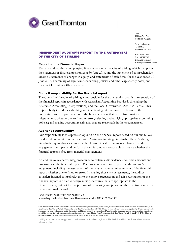<span id="page-64-0"></span>

Level 1 10 Kings Park Road West Perth WA 6005

Correspondence to: PO Box 570 West Perth WA 6872

Level 1 **T** +61 8 9480 2000 10 Kings Park Road **F** +61 8 9322 7787 West Perth WA 6005 **E** info.wa@au.gt.com **W** www.grantthornton.com.au

### INDEPENDENT AUDITOR'S REPORT TO THE RATEPAYERS OF THE CITY OF STIRLING

### Report on the Financial Report

PO Box 570 We have audited the accompanying financial report of the City of Stirling, which comprises the statement of financial position as at 30 June 2016, and the statement of comprehensive income, statements of changes in equity, and statements of cash flows for the year ended 30 **E** info.wa@au.gt.com June 2016, a summary of significant accounting policies and other explanatory notes, and the Chief Executive Officer's statement.

## Council responsibility for the financial report

The Council of the City of Stirling is responsible for the preparation and fair presentation of the financial report in accordance with Australian Accounting Standards (including the Australian Accounting Interpretations) and the Local Government Act 1995 Part 6. This preparation and fair presentation of the financial report that is free from material misstatement, whether due to fraud or error; selecting and applying appropriate accounting policies; and making accounting estimates that are reasonable in the circumstances.  $A = \begin{pmatrix} 1 & 1 & 1 \end{pmatrix}$ responsibility includes establishing and maintaining internal control relevant to the

## Auditor's responsibility includes establishing internal control relevant to the set of the set of the set of t

Our responsibility is to express an opinion on the financial report based on our audit. We conducted our audit in accordance with Australian Auditing Standards. These Auditing Standards require that we comply with relevant ethical requirements relating to audit financial report is free from material misstatement.  $\mathbf{I}$ engagements and plan and perform the audit to obtain reasonable assurance whether the

An audit involves performing procedures to obtain audit evidence about the amounts and disclosures in the financial report. The procedures selected depend on the auditor's judgement, including the assessment of the risks of material misstatement of the financial report, whether due to fraud or error. In making those risk assessments, the auditor financial report in order to design audit procedures that are appropriate in the circumstances, but not for the purpose of expressing an opinion on the effectiveness of the entity's internal control. report, whether due to fraud or error. In making those risk assessments, the auditor considers internal control relevant to the entity's preparation and fair presentation of the

#### Grant Thornton Audit Pty Ltd AGN 130 913 594<br>a subsidian considered antity of Canal Thomson Australia Ltd ADN 44 497 EEC 200 a subsidiary or related entity of Grant Thornton Australia Ltd ABN 41 127 556 389 Grant Thornton Audit Pty Ltd ACN 130 913 594

Australian subsidiaries and related entities. GTIL is not an Australian related entity to Grant Thornton Australia Limited. .<br>'Grant Thornton' refers to the brand under which the Grant Thornton member firms provide assurance, tax and advisory services to their clients and/or refers to one or more member firms, as the context requires. Grant Thornton Australia Ltd is a member firm of Grant Thornton International Ltd (GTLL), GTL and the member firms are not a worldwide partnership. GTLL and each member firms are not a worldwide partnersh are not liable for one another's acts or omissions. In the Australian context only, the use of the term 'Grant Thornton' may refer to Grant Thornton Australia Limited ABN 41 127 556 389 and its

.<br>Liability limited by a scheme approved under Professional Standards Legislation. Liability is limited in those States where a current scheme applies.

Liability limited under Professional Standards Legislation. Liability is limited in those States where a current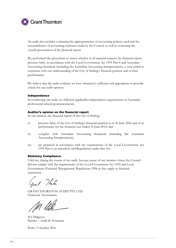

An audit also includes evaluating the appropriateness of accounting policies used and the reasonableness of accounting estimates made by the Council, as well as evaluating the overall presentation of the financial report.

We performed the procedures to assess whether in all material respects the financial report presents fairly, in accordance with the Local Government Act 1995 Part 6 and Australian Accounting Standards (including the Australian Accounting Interpretations), a view which is consistent with our understanding of the City of Stirling's financial position and of their performance.

We believe that the audit evidence we have obtained is sufficient and appropriate to provide a basis for our audit opinion.

### Independence

In conducting our audit, we followed applicable independence requirements of Australian professional ethical pronouncements.

### Auditor's opinion on the financial report

In our opinion, the financial report of the City of Stirling:

- (i) presents fairly of the City of Stirling's financial position as at 30 June 2016 and of its performance for the financial year ended 30 June 2016, and
- (ii) complies with Australian Accounting Standards (including the Australian Accounting Interpretations),
- (iii) are prepared in accordance with the requirements of the Local Government Act 1995 Part 6 (as amended) and Regulations under that Act.

### Statutory Compliance

I did not, during the course of my audit, become aware of any instance where the Council did not comply with the requirements of the Local Government Act 1995 and Local Government (Financial Management) Regulations 1996 as they apply to financial statements.

+ That

GRANT THORNTON AUDIT PTY LTD Chartered Accountants

M J Hillgrove Partner – Audit & Assurance

Perth, 5 October 2016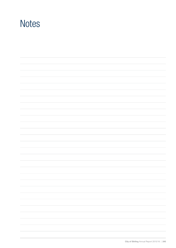# **Notes**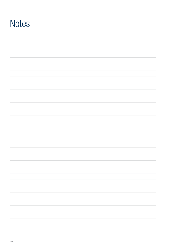# **Notes**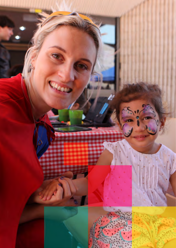